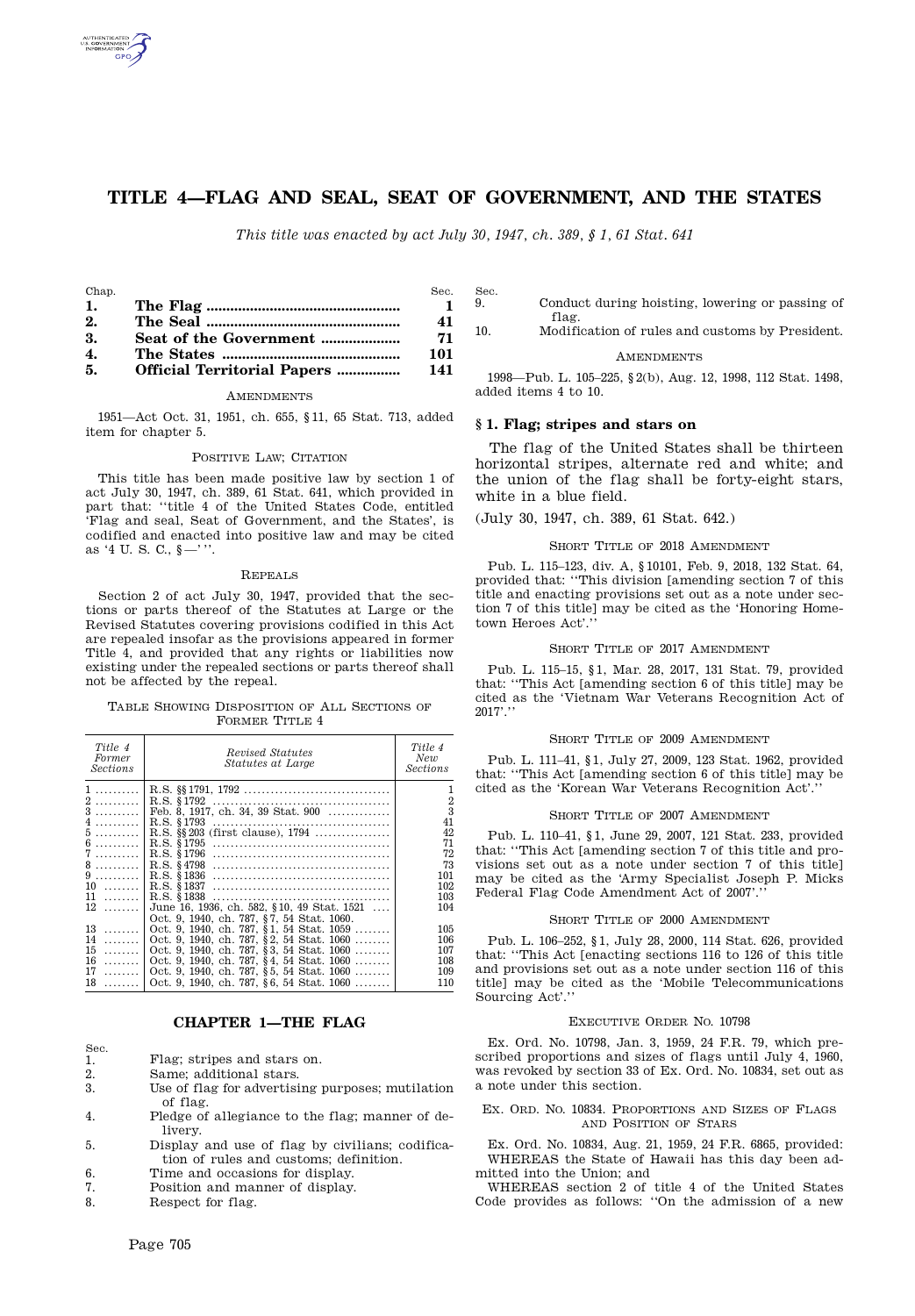# **TITLE 4—FLAG AND SEAL, SEAT OF GOVERNMENT, AND THE STATES**

*This title was enacted by act July 30, 1947, ch. 389, § 1, 61 Stat. 641*

Sec.<br>9

| Chap.            |                                     | Sec. | Sec. |
|------------------|-------------------------------------|------|------|
| 1.               |                                     |      |      |
| 2.               |                                     | 41   |      |
| 3.               |                                     | 71   | 10.  |
| $\boldsymbol{4}$ |                                     | 101  |      |
| 5.               | <b>Official Territorial Papers </b> | 141  | 1000 |

#### **AMENDMENTS**

1951—Act Oct. 31, 1951, ch. 655, § 11, 65 Stat. 713, added item for chapter 5.

#### POSITIVE LAW; CITATION

This title has been made positive law by section 1 of act July 30, 1947, ch. 389, 61 Stat. 641, which provided in part that: "title 4 of the United States Code, entitled 'Flag and seal, Seat of Government, and the States', is codified and enacted into positive law and may be cited as '4 U.S.C., §-''

#### Repeals

Section 2 of act July 30, 1947, provided that the sec tions or parts thereof of the Statutes at Large or the Revised Statutes covering provisions codified in this Act are repealed insofar as the provisions appeared in former Title 4, and provided that any rights or liabilities now existing under the repealed sections or parts thereof shall not be affected by the repeal.

Table Showing Disposition of All Sections of FORMER TITLE 4

| Title 4<br>Former<br><b>Sections</b>                | Revised Statutes<br>Statutes at Large                                                                                                                                                                                                                                             | Title 4<br>New<br>Sections                       | Pub.<br>that: "                               |
|-----------------------------------------------------|-----------------------------------------------------------------------------------------------------------------------------------------------------------------------------------------------------------------------------------------------------------------------------------|--------------------------------------------------|-----------------------------------------------|
| 1<br>$2$<br>$3$ 1<br>4                              | Feb. 8, 1917, ch. 34, 39 Stat. 900                                                                                                                                                                                                                                                | $\overline{2}$<br>3<br>41                        | cited a                                       |
| 5<br>9                                              | R.S. $\S$ 203 (first clause), 1794<br>12  June 16, 1936, ch. 582, §10, 49 Stat. 1521<br>Oct. 9, 1940. ch. 787, §7, 54 Stat. 1060.                                                                                                                                                 | 42<br>71<br>72<br>73<br>101<br>102<br>103<br>104 | Pub.<br>that: "<br>visions<br>may b<br>Federa |
| $13 \ldots \ldots$<br>$14$<br>$16$<br>$17 \ldots 1$ | Oct. 9, 1940, ch. 787, §1, 54 Stat. 1059<br>Oct. 9, 1940, ch. 787, §2, 54 Stat. 1060<br>$15$   Oct. 9, 1940, ch. 787, §3, 54 Stat. 1060<br>Oct. 9, 1940, ch. 787, §4, 54 Stat. 1060<br>Oct. 9, 1940, ch. 787, §5, 54 Stat. 1060<br>18    Oct. 9, 1940, ch. 787, §6, 54 Stat. 1060 | 105<br>106<br>107<br>108<br>109<br>110           | Pub.<br>that: "<br>and pr<br>title] ı         |

## **CHAPTER 1—THE FLAG**

- Sec.
- 1. Flag; stripes and stars on.<br>2. Same: additional stars. Same; additional stars.
- 3. Use of flag for advertising purposes; mutilation of flag.
- 4. Pledge of allegiance to the flag; manner of delivery.
- 5. Display and use of flag by civilians; codifica tion of rules and customs; definition.
- 6. Time and occasions for display.<br>7. Position and manner of display.
- 7. Position and manner of display.<br>8. Respect for flag.
- Respect for flag.

9. Conduct during hoisting, lowering or passing of flag.

10. Modification of rules and customs by President.

## **AMENDMENTS**

1998—Pub. L. 105–225, § 2(b), Aug. 12, 1998, 112 Stat. 1498, added items 4 to 10.

## **§ 1. Flag; stripes and stars on**

The flag of the United States shall be thirteen horizontal stripes, alternate red and white; and the union of the flag shall be forty-eight stars, white in a blue field.

(July 30, 1947, ch. 389, 61 Stat. 642.)

#### SHORT TITLE OF 2018 AMENDMENT

Pub. L. 115–123, div. A, § 10101, Feb. 9, 2018, 132 Stat. 64, provided that: "This division [amending section 7 of this title and enacting provisions set out as a note under sec tion 7 of this title] may be cited as the 'Honoring Home town Heroes Act'.'

#### SHORT TITLE OF 2017 AMENDMENT

Pub. L. 115–15, § 1, Mar. 28, 2017, 131 Stat. 79, provided that: "This Act [amending section 6 of this title] may be cited as the 'Vietnam War Veterans Recognition Act of 2017'."

## SHORT TITLE OF 2009 AMENDMENT

*Sections* that: "This Act [amending section 6 of this title] may be Pub. L. 111–41, § 1, July 27, 2009, 123 Stat. 1962, provided cited as the 'Korean War Veterans Recognition Act'."

## SHORT TITLE OF 2007 AMENDMENT

Pub. L. 110–41, § 1, June 29, 2007, 121 Stat. 233, provided that: "This Act [amending section 7 of this title and pro visions set out as a note under section 7 of this title] may be cited as the 'Army Specialist Joseph P. Micks Federal Flag Code Amendment Act of 2007'.

#### SHORT TITLE OF 2000 AMENDMENT

Pub. L. 106–252, § 1, July 28, 2000, 114 Stat. 626, provided that: "This Act [enacting sections 116 to 126 of this title and provisions set out as a note under section 116 of this title] may be cited as the 'Mobile Telecommunications Sourcing Act'.

#### Executive Order No. 10798

Ex. Ord. No. 10798, Jan. 3, 1959, 24 F.R. 79, which pre scribed proportions and sizes of flags until July 4, 1960, was revoked by section 33 of Ex. Ord. No. 10834, set out as a note under this section.

## Ex. Ord. No. 10834. Proportions and Sizes of Flags and Position of Stars

Ex. Ord. No. 10834, Aug. 21, 1959, 24 F.R. 6865, provided: WHEREAS the State of Hawaii has this day been ad mitted into the Union; and

WHEREAS section 2 of title 4 of the United States Code provides as follows: "On the admission of a new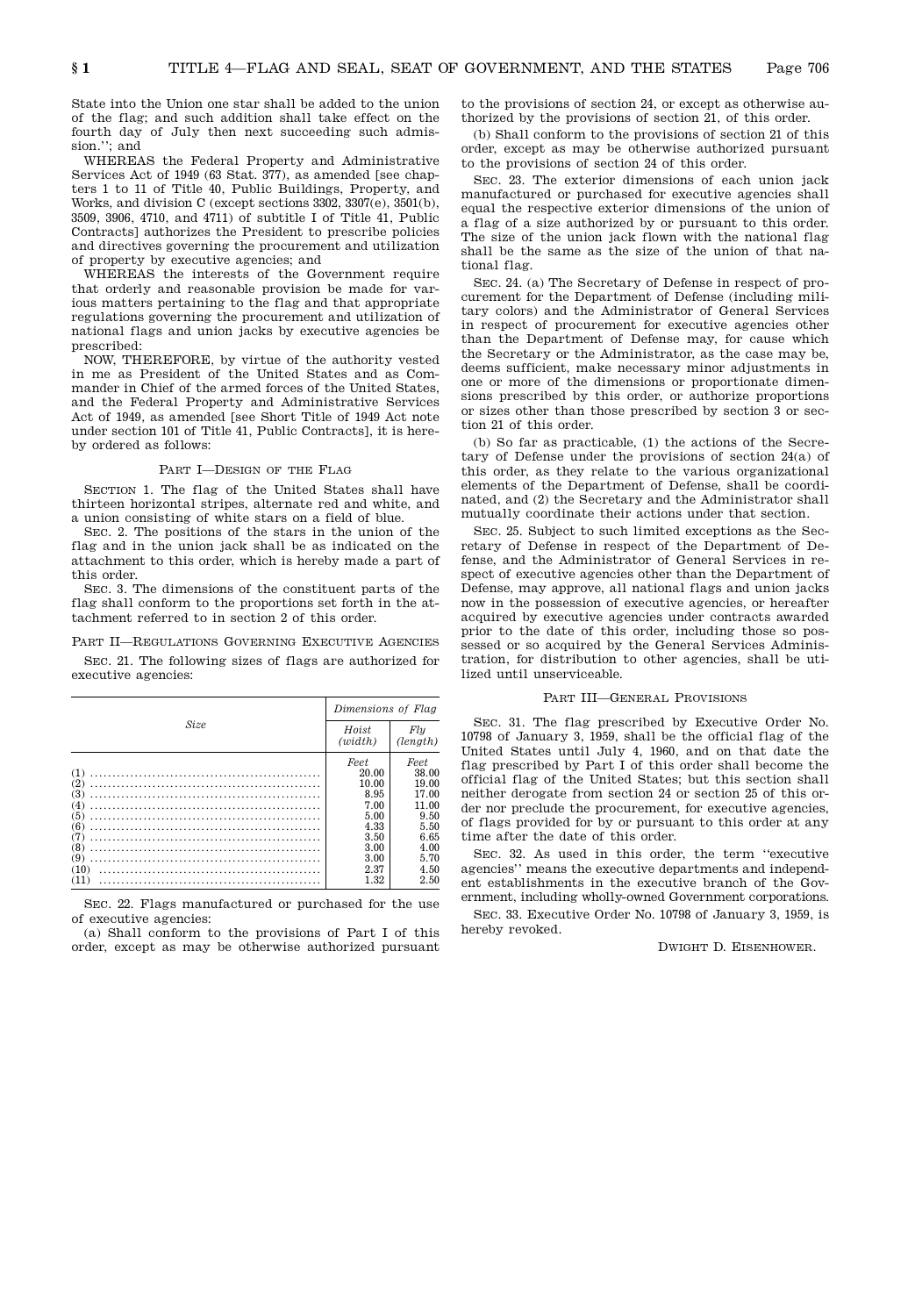State into the Union one star shall be added to the union of the flag; and such addition shall take effect on the fourth day of July then next succeeding such admis sion."; and

WHEREAS the Federal Property and Administrative Services Act of 1949 (63 Stat. 377), as amended [see chap ters 1 to 11 of Title 40, Public Buildings, Property, and Works, and division C (except sections 3302, 3307(e), 3501(b), 3509, 3906, 4710, and 4711) of subtitle I of Title 41, Public Contracts] authorizes the President to prescribe policies and directives governing the procurement and utilization of property by executive agencies; and

WHEREAS the interests of the Government require that orderly and reasonable provision be made for various matters pertaining to the flag and that appropriate regulations governing the procurement and utilization of national flags and union jacks by executive agencies be prescribed:

NOW, THEREFORE, by virtue of the authority vested in me as President of the United States and as Com mander in Chief of the armed forces of the United States, and the Federal Property and Administrative Services Act of 1949, as amended [see Short Title of 1949 Act note under section 101 of Title 41, Public Contracts], it is here by ordered as follows:

#### PART I-DESIGN OF THE FLAG

SECTION 1. The flag of the United States shall have thirteen horizontal stripes, alternate red and white, and a union consisting of white stars on a field of blue.

Sec. 2. The positions of the stars in the union of the flag and in the union jack shall be as indicated on the attachment to this order, which is hereby made a part of this order.

Sec. 3. The dimensions of the constituent parts of the flag shall conform to the proportions set forth in the at tachment referred to in section 2 of this order.

Part II—Regulations Governing Executive Agencies

Sec. 21. The following sizes of flags are authorized for executive agencies:

| Size.<br>Hoist<br>(width)<br>Feet<br>(1)<br>(2)<br>(3)<br>(4)<br>(5)<br>(6)<br>(7)<br>(8) |
|-------------------------------------------------------------------------------------------|
|                                                                                           |
| (9)<br>(10)<br>(11)                                                                       |

Sec. 22. Flags manufactured or purchased for the use of executive agencies:

(a) Shall conform to the provisions of Part I of this order, except as may be otherwise authorized pursuant to the provisions of section 24, or except as otherwise au thorized by the provisions of section 21, of this order.

(b) Shall conform to the provisions of section 21 of this order, except as may be otherwise authorized pursuant to the provisions of section 24 of this order.

Sec. 23. The exterior dimensions of each union jack manufactured or purchased for executive agencies shall equal the respective exterior dimensions of the union of a flag of a size authorized by or pursuant to this order. The size of the union jack flown with the national flag shall be the same as the size of the union of that na tional flag.

Sec. 24. (a) The Secretary of Defense in respect of pro curement for the Department of Defense (including mili tary colors) and the Administrator of General Services in respect of procurement for executive agencies other than the Department of Defense may, for cause which the Secretary or the Administrator, as the case may be, deems sufficient, make necessary minor adjustments in one or more of the dimensions or proportionate dimen sions prescribed by this order, or authorize proportions or sizes other than those prescribed by section 3 or sec tion 21 of this order.

(b) So far as practicable, (1) the actions of the Secretary of Defense under the provisions of section 24(a) of this order, as they relate to the various organizational elements of the Department of Defense, shall be coordi nated, and (2) the Secretary and the Administrator shall mutually coordinate their actions under that section.

Sec. 25. Subject to such limited exceptions as the Sec retary of Defense in respect of the Department of Defense, and the Administrator of General Services in re spect of executive agencies other than the Department of Defense, may approve, all national flags and union jacks now in the possession of executive agencies, or hereafter acquired by executive agencies under contracts awarded prior to the date of this order, including those so pos sessed or so acquired by the General Services Adminis tration, for distribution to other agencies, shall be utilized until unserviceable.

#### Part III—General Provisions

*Hoist* **Fly**<br> *(width) (length)* **10798 of January 3, 1959, shall be the official flag of the** Sec. 31. The flag prescribed by Executive Order No. United States until July 4, 1960, and on that date the flag prescribed by Part I of this order shall become the official flag of the United States; but this section shall neither derogate from section 24 or section 25 of this or der nor preclude the procurement, for executive agencies, of flags provided for by or pursuant to this order at any time after the date of this order.

> Sec. 32. As used in this order, the term "executive agencies" means the executive departments and independ ent establishments in the executive branch of the Gov ernment, including wholly-owned Government corporations.

> Sec. 33. Executive Order No. 10798 of January 3, 1959, is hereby revoked.

> > Dwight D. Eisenhower.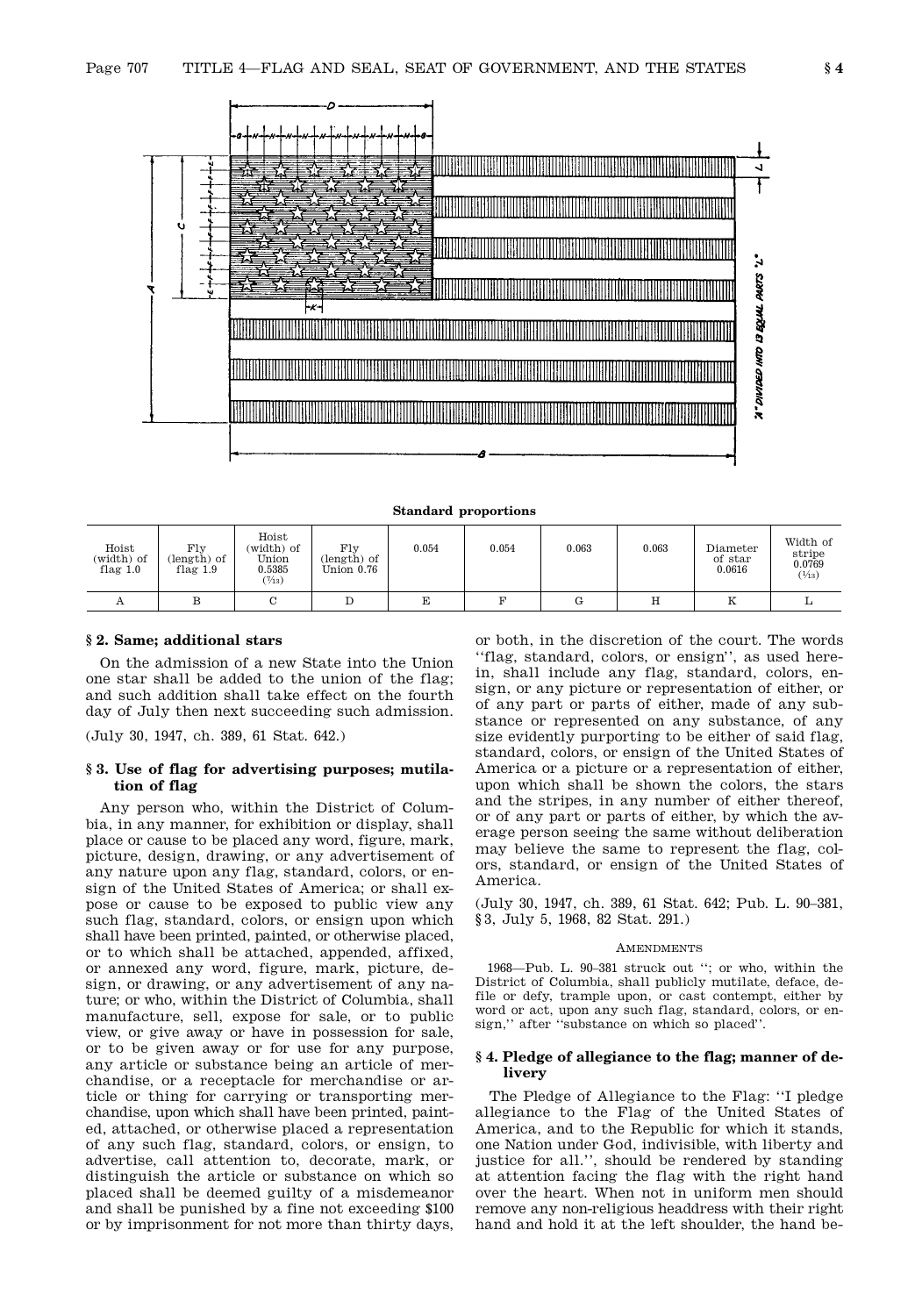

**Standard proportions**

| Hoist<br>(width) of<br>flag 1.0 | Fly<br>(length) of<br>flag $1.9$ | Hoist<br>(width) of<br>Union<br>0.5385<br>$(\frac{7}{13})$ | Flv<br>$(length)$ of<br>Union 0.76 | 0.054 | 0.054 | 0.063 | 0.063 | Diameter<br>of star<br>0.0616 | Width of<br>$\begin{array}{c} \text{stripe} \\ 0.0769 \end{array}$<br>$(\frac{1}{13})$ |
|---------------------------------|----------------------------------|------------------------------------------------------------|------------------------------------|-------|-------|-------|-------|-------------------------------|----------------------------------------------------------------------------------------|
| д                               |                                  |                                                            |                                    | E     |       | G     | н     | Κ                             | ∸                                                                                      |

## **§ 2. Same; additional stars**

On the admission of a new State into the Union one star shall be added to the union of the flag; and such addition shall take effect on the fourth day of July then next succeeding such admission.

(July 30, 1947, ch. 389, 61 Stat. 642.)

## **§ 3. Use of flag for advertising purposes; mutilation of flag**

Any person who, within the District of Colum bia, in any manner, for exhibition or display, shall place or cause to be placed any word, figure, mark, picture, design, drawing, or any advertisement of any nature upon any flag, standard, colors, or en sign of the United States of America; or shall ex pose or cause to be exposed to public view any such flag, standard, colors, or ensign upon which shall have been printed, painted, or otherwise placed, or to which shall be attached, appended, affixed, or annexed any word, figure, mark, picture, de sign, or drawing, or any advertisement of any na ture; or who, within the District of Columbia, shall manufacture, sell, expose for sale, or to public view, or give away or have in possession for sale, or to be given away or for use for any purpose, any article or substance being an article of mer chandise, or a receptacle for merchandise or ar ticle or thing for carrying or transporting mer chandise, upon which shall have been printed, paint ed, attached, or otherwise placed a representation of any such flag, standard, colors, or ensign, to advertise, call attention to, decorate, mark, or distinguish the article or substance on which so placed shall be deemed guilty of a misdemeanor and shall be punished by a fine not exceeding \$100 or by imprisonment for not more than thirty days,

or both, in the discretion of the court. The words "flag, standard, colors, or ensign", as used herein, shall include any flag, standard, colors, en sign, or any picture or representation of either, or of any part or parts of either, made of any sub stance or represented on any substance, of any size evidently purporting to be either of said flag, standard, colors, or ensign of the United States of America or a picture or a representation of either, upon which shall be shown the colors, the stars and the stripes, in any number of either thereof, or of any part or parts of either, by which the av erage person seeing the same without deliberation may believe the same to represent the flag, col ors, standard, or ensign of the United States of America.

(July 30, 1947, ch. 389, 61 Stat. 642; Pub. L. 90–381, § 3, July 5, 1968, 82 Stat. 291.)

## **AMENDMENTS**

1968—Pub. L. 90–381 struck out "; or who, within the District of Columbia, shall publicly mutilate, deface, defile or defy, trample upon, or cast contempt, either by word or act, upon any such flag, standard, colors, or en- sign," after "substance on which so placed".

## **§ 4. Pledge of allegiance to the flag; manner of delivery**

The Pledge of Allegiance to the Flag: "I pledge allegiance to the Flag of the United States of America, and to the Republic for which it stands, one Nation under God, indivisible, with liberty and justice for all.", should be rendered by standing at attention facing the flag with the right hand over the heart. When not in uniform men should remove any non-religious headdress with their right hand and hold it at the left shoulder, the hand be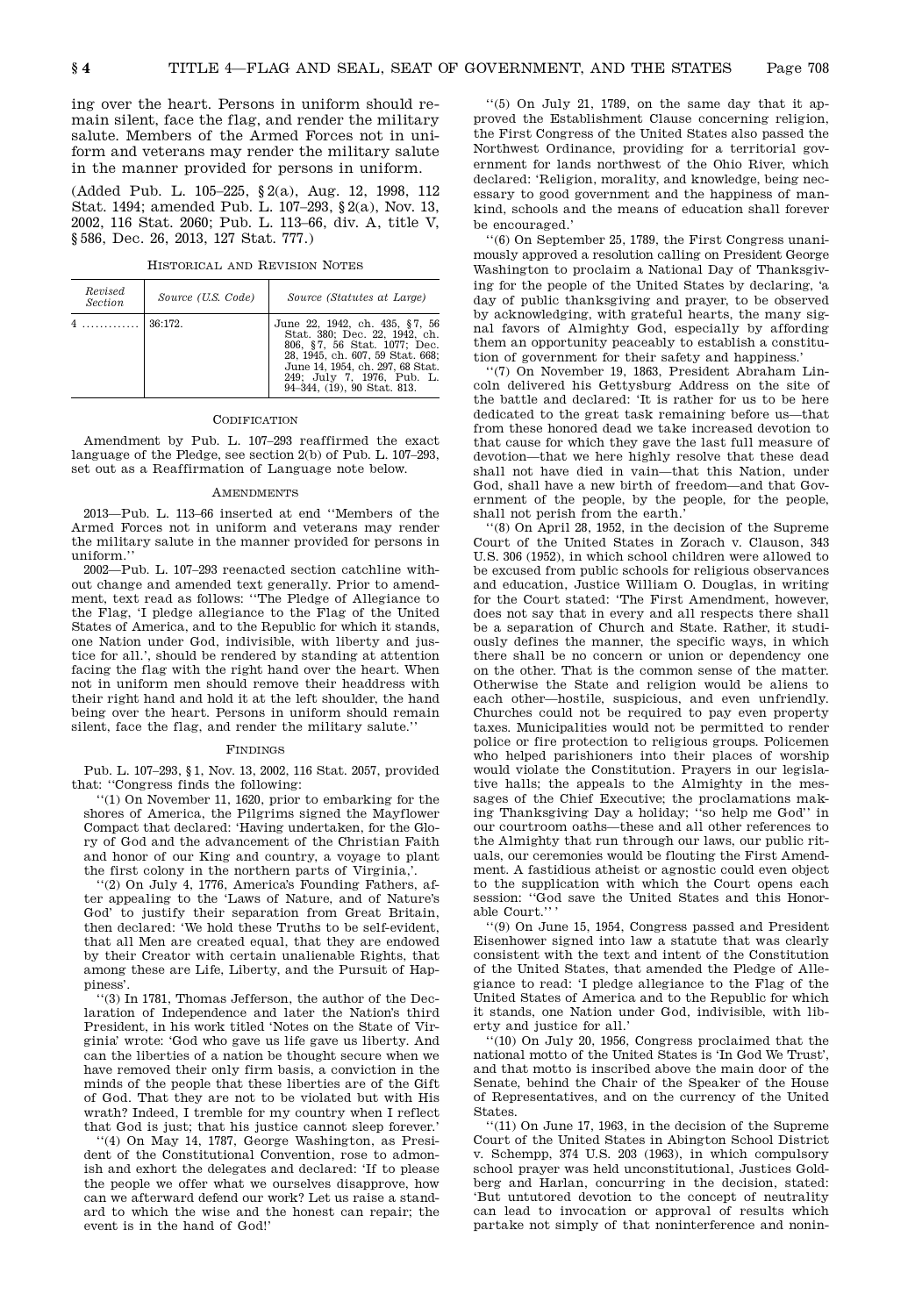ing over the heart. Persons in uniform should re main silent, face the flag, and render the military salute. Members of the Armed Forces not in uniform and veterans may render the military salute in the manner provided for persons in uniform.

(Added Pub. L. 105–225, § 2(a), Aug. 12, 1998, 112 Stat. 1494; amended Pub. L. 107–293, § 2(a), Nov. 13, 2002, 116 Stat. 2060; Pub. L. 113–66, div. A, title V, § 586, Dec. 26, 2013, 127 Stat. 777.)

Historical and Revision Notes

| Revised<br>Section | Source (U.S. Code) | Source (Statutes at Large)                                                                                                                                                                                                           |
|--------------------|--------------------|--------------------------------------------------------------------------------------------------------------------------------------------------------------------------------------------------------------------------------------|
|                    | 36:172.            | June 22, 1942, ch. 435, §7, 56<br>Stat. 380: Dec. 22. 1942. ch.<br>806, §7, 56 Stat, 1077; Dec.<br>28, 1945, ch. 607, 59 Stat. 668:<br>June 14, 1954, ch. 297, 68 Stat.<br>249: July 7, 1976. Pub. L.<br>94–344, (19), 90 Stat, 813. |

#### **CODIFICATION**

Amendment by Pub. L. 107–293 reaffirmed the exact language of the Pledge, see section 2(b) of Pub. L. 107–293, set out as a Reaffirmation of Language note below.

#### **AMENDMENTS**

2013—Pub. L. 113–66 inserted at end "Members of the Armed Forces not in uniform and veterans may render the military salute in the manner provided for persons in uniform."

2002—Pub. L. 107–293 reenacted section catchline with out change and amended text generally. Prior to amend ment, text read as follows: "The Pledge of Allegiance to the Flag, 'I pledge allegiance to the Flag of the United States of America, and to the Republic for which it stands, one Nation under God, indivisible, with liberty and jus tice for all.', should be rendered by standing at attention facing the flag with the right hand over the heart. When not in uniform men should remove their headdress with their right hand and hold it at the left shoulder, the hand being over the heart. Persons in uniform should remain silent, face the flag, and render the military salute."

#### Findings

Pub. L. 107–293, § 1, Nov. 13, 2002, 116 Stat. 2057, provided that: "Congress finds the following:

"(1) On November 11, 1620, prior to embarking for the shores of America, the Pilgrims signed the Mayflower Compact that declared: 'Having undertaken, for the Glo ry of God and the advancement of the Christian Faith and honor of our King and country, a voyage to plant the first colony in the northern parts of Virginia,'.

"(2) On July 4, 1776, America's Founding Fathers, af ter appealing to the 'Laws of Nature, and of Nature's God' to justify their separation from Great Britain, then declared: 'We hold these Truths to be self-evident, that all Men are created equal, that they are endowed by their Creator with certain unalienable Rights, that among these are Life, Liberty, and the Pursuit of Hap piness'.

"(3) In 1781, Thomas Jefferson, the author of the Declaration of Independence and later the Nation's third President, in his work titled 'Notes on the State of Vir ginia' wrote: 'God who gave us life gave us liberty. And can the liberties of a nation be thought secure when we have removed their only firm basis, a conviction in the minds of the people that these liberties are of the Gift of God. That they are not to be violated but with His wrath? Indeed, I tremble for my country when I reflect that God is just; that his justice cannot sleep forever.'

"(4) On May 14, 1787, George Washington, as Presi dent of the Constitutional Convention, rose to admonish and exhort the delegates and declared: 'If to please the people we offer what we ourselves disapprove, how can we afterward defend our work? Let us raise a stand ard to which the wise and the honest can repair; the event is in the hand of God!'

"(5) On July 21, 1789, on the same day that it ap proved the Establishment Clause concerning religion, the First Congress of the United States also passed the Northwest Ordinance, providing for a territorial gov ernment for lands northwest of the Ohio River, which declared: 'Religion, morality, and knowledge, being nec essary to good government and the happiness of man kind, schools and the means of education shall forever be encouraged.'

"(6) On September 25, 1789, the First Congress unani mously approved a resolution calling on President George Washington to proclaim a National Day of Thanksgiving for the people of the United States by declaring, 'a day of public thanksgiving and prayer, to be observed by acknowledging, with grateful hearts, the many sig nal favors of Almighty God, especially by affording them an opportunity peaceably to establish a constitu tion of government for their safety and happiness.'

"(7) On November 19, 1863, President Abraham Lin coln delivered his Gettysburg Address on the site of the battle and declared: 'It is rather for us to be here dedicated to the great task remaining before us—that from these honored dead we take increased devotion to that cause for which they gave the last full measure of devotion—that we here highly resolve that these dead shall not have died in vain—that this Nation, under God, shall have a new birth of freedom—and that Gov ernment of the people, by the people, for the people, shall not perish from the earth.'

"(8) On April 28, 1952, in the decision of the Supreme Court of the United States in Zorach v. Clauson, 343 U.S. 306 (1952), in which school children were allowed to be excused from public schools for religious observances and education, Justice William O. Douglas, in writing for the Court stated: 'The First Amendment, however, does not say that in every and all respects there shall be a separation of Church and State. Rather, it studi ously defines the manner, the specific ways, in which there shall be no concern or union or dependency one on the other. That is the common sense of the matter. Otherwise the State and religion would be aliens to each other—hostile, suspicious, and even unfriendly. Churches could not be required to pay even property taxes. Municipalities would not be permitted to render police or fire protection to religious groups. Policemen who helped parishioners into their places of worship would violate the Constitution. Prayers in our legisla tive halls; the appeals to the Almighty in the mes sages of the Chief Executive; the proclamations making Thanksgiving Day a holiday; "so help me God" in our courtroom oaths—these and all other references to the Almighty that run through our laws, our public rit uals, our ceremonies would be flouting the First Amend ment. A fastidious atheist or agnostic could even object to the supplication with which the Court opens each session: "God save the United States and this Honor able Court." '

"(9) On June 15, 1954, Congress passed and President Eisenhower signed into law a statute that was clearly consistent with the text and intent of the Constitution of the United States, that amended the Pledge of Alle giance to read: 'I pledge allegiance to the Flag of the United States of America and to the Republic for which it stands, one Nation under God, indivisible, with lib erty and justice for all.'

"(10) On July 20, 1956, Congress proclaimed that the national motto of the United States is 'In God We Trust', and that motto is inscribed above the main door of the Senate, behind the Chair of the Speaker of the House of Representatives, and on the currency of the United States.

"(11) On June 17, 1963, in the decision of the Supreme Court of the United States in Abington School District v. Schempp, 374 U.S. 203 (1963), in which compulsory school prayer was held unconstitutional, Justices Gold berg and Harlan, concurring in the decision, stated: 'But untutored devotion to the concept of neutrality can lead to invocation or approval of results which partake not simply of that noninterference and nonin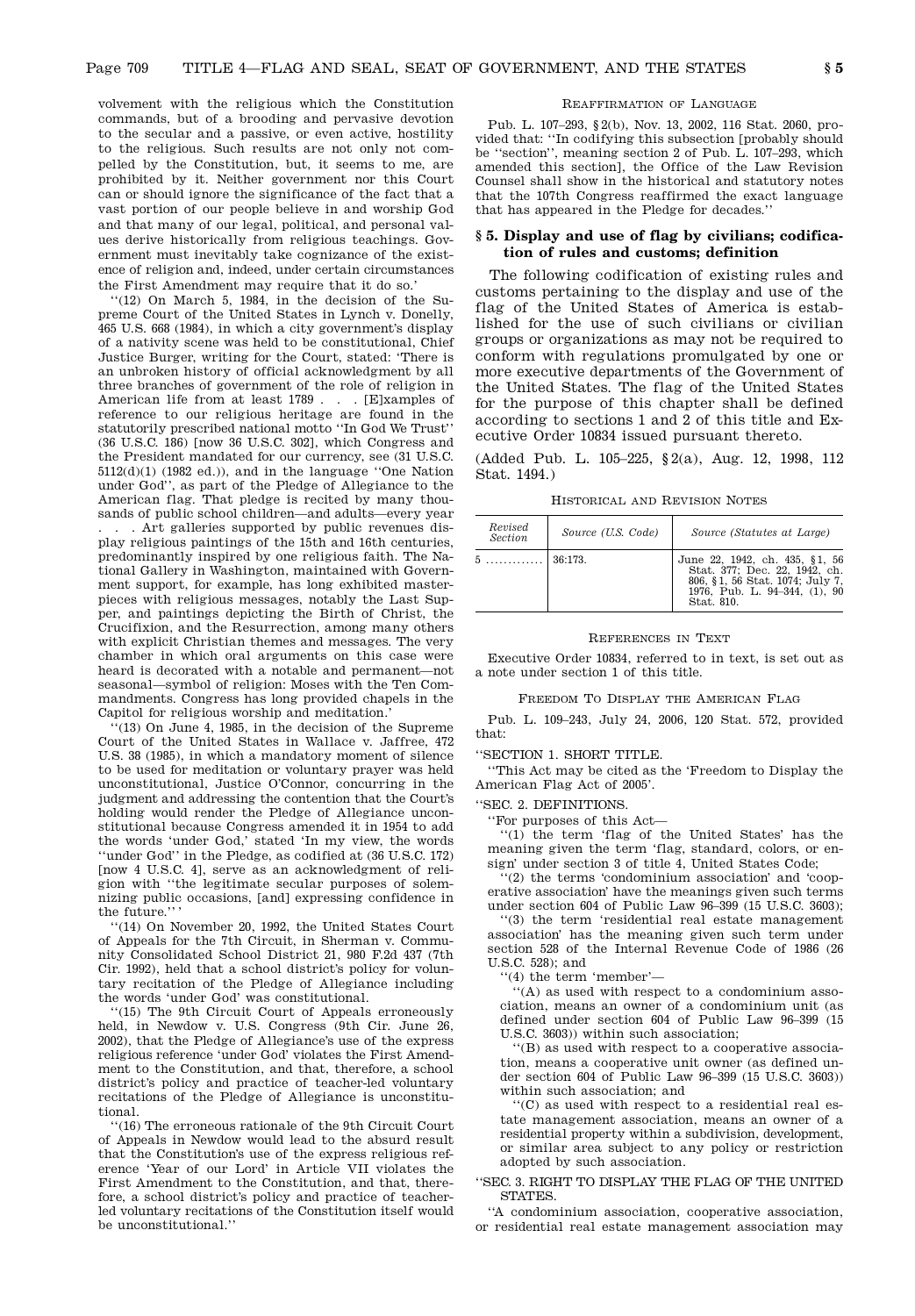volvement with the religious which the Constitution commands, but of a brooding and pervasive devotion to the secular and a passive, or even active, hostility to the religious. Such results are not only not com pelled by the Constitution, but, it seems to me, are prohibited by it. Neither government nor this Court can or should ignore the significance of the fact that a vast portion of our people believe in and worship God and that many of our legal, political, and personal val ues derive historically from religious teachings. Gov ernment must inevitably take cognizance of the exist ence of religion and, indeed, under certain circumstances the First Amendment may require that it do so.'

"(12) On March 5, 1984, in the decision of the Su preme Court of the United States in Lynch v. Donelly, 465 U.S. 668 (1984), in which a city government's display of a nativity scene was held to be constitutional, Chief Justice Burger, writing for the Court, stated: 'There is an unbroken history of official acknowledgment by all three branches of government of the role of religion in American life from at least 1789 . . . [E]xamples of reference to our religious heritage are found in the statutorily prescribed national motto "In God We Trust" (36 U.S.C. 186) [now 36 U.S.C. 302], which Congress and the President mandated for our currency, see (31 U.S.C.  $5112(d)(1)$  (1982 ed.)), and in the language "One Nation under God", as part of the Pledge of Allegiance to the American flag. That pledge is recited by many thou sands of public school children—and adults—every year

. Art galleries supported by public revenues display religious paintings of the 15th and 16th centuries, predominantly inspired by one religious faith. The Na tional Gallery in Washington, maintained with Govern ment support, for example, has long exhibited master pieces with religious messages, notably the Last Sup per, and paintings depicting the Birth of Christ, the Crucifixion, and the Resurrection, among many others with explicit Christian themes and messages. The very chamber in which oral arguments on this case were heard is decorated with a notable and permanent—not seasonal—symbol of religion: Moses with the Ten Com mandments. Congress has long provided chapels in the Capitol for religious worship and meditation.'

 $(13)$  On June 4, 1985, in the decision of the Supreme Court of the United States in Wallace v. Jaffree, 472 U.S. 38 (1985), in which a mandatory moment of silence to be used for meditation or voluntary prayer was held unconstitutional, Justice O'Connor, concurring in the judgment and addressing the contention that the Court's holding would render the Pledge of Allegiance uncon stitutional because Congress amended it in 1954 to add the words 'under God,' stated 'In my view, the words "under God" in the Pledge, as codified at (36 U.S.C. 172) [now 4 U.S.C. 4], serve as an acknowledgment of reli gion with "the legitimate secular purposes of solem nizing public occasions, [and] expressing confidence in the future."

"(14) On November 20, 1992, the United States Court of Appeals for the 7th Circuit, in Sherman v. Commu nity Consolidated School District 21, 980 F.2d 437 (7th Cir. 1992), held that a school district's policy for volun tary recitation of the Pledge of Allegiance including the words 'under God' was constitutional.

"(15) The 9th Circuit Court of Appeals erroneously held, in Newdow v. U.S. Congress (9th Cir. June 26, 2002), that the Pledge of Allegiance's use of the express religious reference 'under God' violates the First Amend ment to the Constitution, and that, therefore, a school district's policy and practice of teacher-led voluntary recitations of the Pledge of Allegiance is unconstitu tional.

"(16) The erroneous rationale of the 9th Circuit Court of Appeals in Newdow would lead to the absurd result that the Constitution's use of the express religious ref erence 'Year of our Lord' in Article VII violates the First Amendment to the Constitution, and that, therefore, a school district's policy and practice of teacherled voluntary recitations of the Constitution itself would be unconstitutional."

#### Reaffirmation of Language

Pub. L. 107–293, § 2(b), Nov. 13, 2002, 116 Stat. 2060, pro vided that: "In codifying this subsection [probably should be "section", meaning section 2 of Pub. L. 107–293, which amended this section], the Office of the Law Revision Counsel shall show in the historical and statutory notes that the 107th Congress reaffirmed the exact language that has appeared in the Pledge for decades."

## **§ 5. Display and use of flag by civilians; codification of rules and customs; definition**

The following codification of existing rules and customs pertaining to the display and use of the flag of the United States of America is established for the use of such civilians or civilian groups or organizations as may not be required to conform with regulations promulgated by one or more executive departments of the Government of the United States. The flag of the United States for the purpose of this chapter shall be defined according to sections 1 and 2 of this title and Ex ecutive Order 10834 issued pursuant thereto.

(Added Pub. L. 105–225, § 2(a), Aug. 12, 1998, 112 Stat. 1494.)

Historical and Revision Notes

| Revised<br><b>Section</b> | Source (U.S. Code) | Source (Statutes at Large)                                                                                                                        |
|---------------------------|--------------------|---------------------------------------------------------------------------------------------------------------------------------------------------|
|                           | 36:173.            | June 22, 1942, ch. 435, §1, 56<br>Stat. 377; Dec. 22, 1942, ch.<br>806, §1, 56 Stat. 1074; July 7,<br>1976. Pub. L. 94-344. (1). 90<br>Stat. 810. |

#### References in Text

Executive Order 10834, referred to in text, is set out as a note under section 1 of this title.

#### Freedom To Display the American Flag

Pub. L. 109–243, July 24, 2006, 120 Stat. 572, provided that:

#### "SECTION 1. SHORT TITLE.

"This Act may be cited as the 'Freedom to Display the American Flag Act of 2005'.

"SEC. 2. DEFINITIONS.

"For purposes of this Act—

"(1) the term 'flag of the United States' has the meaning given the term 'flag, standard, colors, or en sign' under section 3 of title 4, United States Code;

"(2) the terms 'condominium association' and 'coop erative association' have the meanings given such terms under section 604 of Public Law 96–399 (15 U.S.C. 3603);

"(3) the term 'residential real estate management association' has the meaning given such term under section 528 of the Internal Revenue Code of 1986 (26  $U.S.C. 528$ ); and

"(4) the term 'member'—

"(A) as used with respect to a condominium asso ciation, means an owner of a condominium unit (as defined under section 604 of Public Law 96–399 (15 U.S.C. 3603)) within such association;

 $E(B)$  as used with respect to a cooperative association, means a cooperative unit owner (as defined un der section 604 of Public Law 96–399 (15 U.S.C. 3603)) within such association; and

"(C) as used with respect to a residential real es tate management association, means an owner of a residential property within a subdivision, development, or similar area subject to any policy or restriction adopted by such association.

#### "SEC. 3. RIGHT TO DISPLAY THE FLAG OF THE UNITED **STATES**

"A condominium association, cooperative association, or residential real estate management association may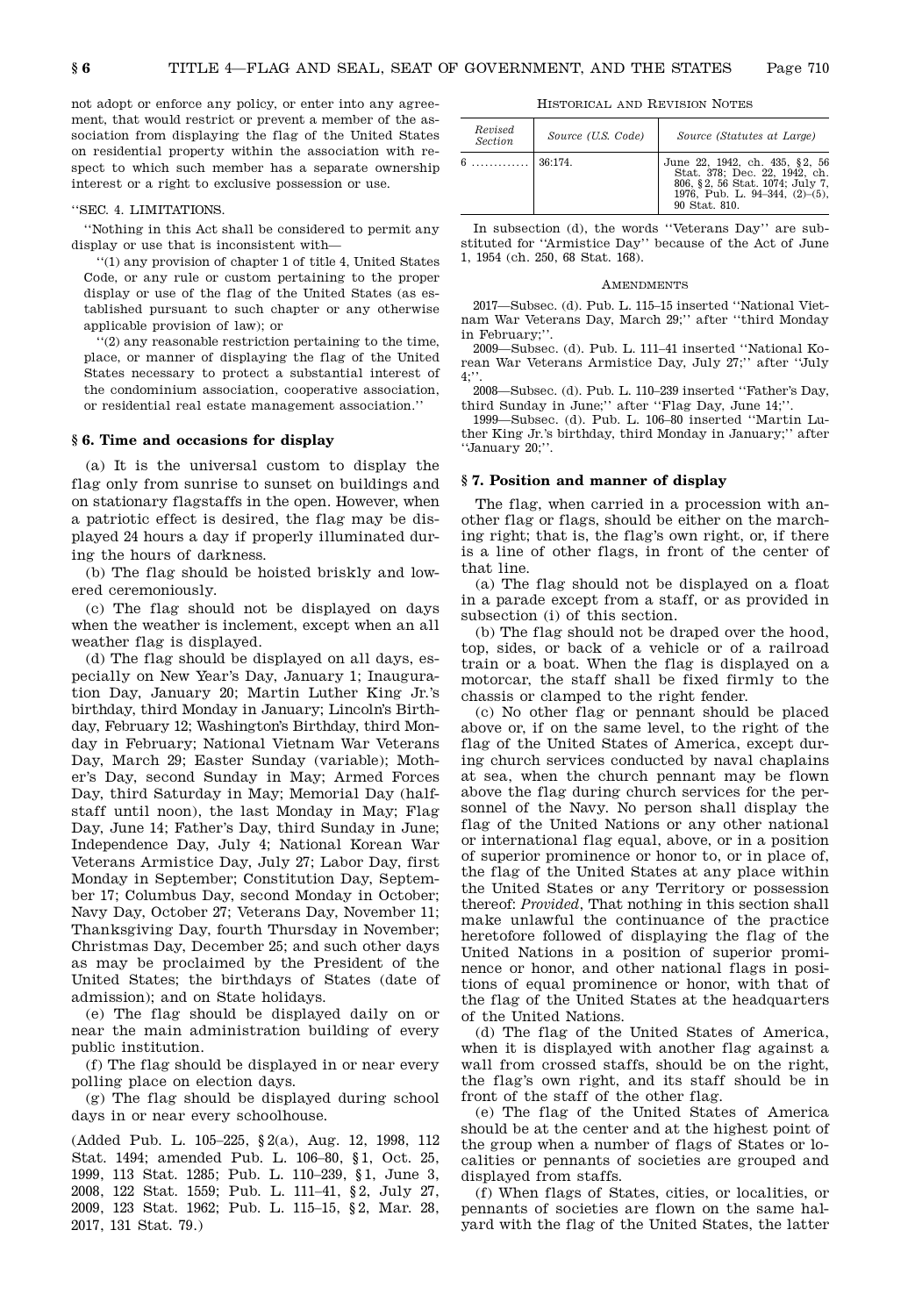not adopt or enforce any policy, or enter into any agree ment, that would restrict or prevent a member of the as sociation from displaying the flag of the United States on residential property within the association with respect to which such member has a separate ownership interest or a right to exclusive possession or use.

## "SEC. 4. LIMITATIONS.

"Nothing in this Act shall be considered to permit any display or use that is inconsistent with—

"(1) any provision of chapter 1 of title 4, United States Code, or any rule or custom pertaining to the proper display or use of the flag of the United States (as es tablished pursuant to such chapter or any otherwise applicable provision of law); or

"(2) any reasonable restriction pertaining to the time, place, or manner of displaying the flag of the United States necessary to protect a substantial interest of  $\frac{1}{4}$ . the condominium association, cooperative association, or residential real estate management association."

#### **§ 6. Time and occasions for display**

(a) It is the universal custom to display the flag only from sunrise to sunset on buildings and on stationary flagstaffs in the open. However, when a patriotic effect is desired, the flag may be dis played 24 hours a day if properly illuminated during the hours of darkness.

(b) The flag should be hoisted briskly and low ered ceremoniously.

(c) The flag should not be displayed on days when the weather is inclement, except when an all weather flag is displayed.

(d) The flag should be displayed on all days, es pecially on New Year's Day, January 1; Inaugura tion Day, January 20; Martin Luther King Jr.'s birthday, third Monday in January; Lincoln's Birth day, February 12; Washington's Birthday, third Mon day in February; National Vietnam War Veterans Day, March 29; Easter Sunday (variable); Moth er's Day, second Sunday in May; Armed Forces Day, third Saturday in May; Memorial Day (half staff until noon), the last Monday in May; Flag Day, June 14; Father's Day, third Sunday in June; Independence Day, July 4; National Korean War Veterans Armistice Day, July 27; Labor Day, first Monday in September; Constitution Day, Septem ber 17; Columbus Day, second Monday in October; Navy Day, October 27; Veterans Day, November 11; Thanksgiving Day, fourth Thursday in November; Christmas Day, December 25; and such other days as may be proclaimed by the President of the United States; the birthdays of States (date of admission); and on State holidays.

(e) The flag should be displayed daily on or near the main administration building of every public institution.

(f) The flag should be displayed in or near every polling place on election days.

(g) The flag should be displayed during school days in or near every schoolhouse.

(Added Pub. L. 105–225, § 2(a), Aug. 12, 1998, 112 Stat. 1494; amended Pub. L. 106–80, § 1, Oct. 25, 1999, 113 Stat. 1285; Pub. L. 110–239, § 1, June 3, 2008, 122 Stat. 1559; Pub. L. 111–41, § 2, July 27, 2009, 123 Stat. 1962; Pub. L. 115–15, § 2, Mar. 28, 2017, 131 Stat. 79.)

| Revised<br>Section | Source (U.S. Code) | Source (Statutes at Large)                                                                                                                            |
|--------------------|--------------------|-------------------------------------------------------------------------------------------------------------------------------------------------------|
|                    | 36.174             | June 22, 1942, ch. 435, §2, 56<br>Stat. 378; Dec. 22, 1942, ch.<br>806, §2, 56 Stat. 1074; July 7,<br>1976. Pub. L. 94-344. (2)-(5).<br>90 Stat. 810. |

In subsection (d), the words "Veterans Day" are sub stituted for "Armistice Day" because of the Act of June 1, 1954 (ch. 250, 68 Stat. 168).

#### **AMENDMENTS**

2017—Subsec. (d). Pub. L. 115–15 inserted "National Viet nam War Veterans Day, March 29;" after "third Monday in February;".

2009—Subsec. (d). Pub. L. 111–41 inserted "National Ko rean War Veterans Armistice Day, July 27;" after "July

4;".2008—Subsec. (d). Pub. L. 110–239 inserted "Father's Day, third Sunday in June;" after "Flag Day, June 14;"

1999—Subsec. (d). Pub. L. 106–80 inserted "Martin Lu ther King Jr.'s birthday, third Monday in January;" after "January 20;".

#### **§ 7. Position and manner of display**

The flag, when carried in a procession with an other flag or flags, should be either on the marching right; that is, the flag's own right, or, if there is a line of other flags, in front of the center of that line.

(a) The flag should not be displayed on a float in a parade except from a staff, or as provided in subsection (i) of this section.

(b) The flag should not be draped over the hood, top, sides, or back of a vehicle or of a railroad train or a boat. When the flag is displayed on a motorcar, the staff shall be fixed firmly to the chassis or clamped to the right fender.

(c) No other flag or pennant should be placed above or, if on the same level, to the right of the flag of the United States of America, except during church services conducted by naval chaplains at sea, when the church pennant may be flown above the flag during church services for the per sonnel of the Navy. No person shall display the flag of the United Nations or any other national or international flag equal, above, or in a position of superior prominence or honor to, or in place of, the flag of the United States at any place within the United States or any Territory or possession thereof: *Provided*, That nothing in this section shall make unlawful the continuance of the practice heretofore followed of displaying the flag of the United Nations in a position of superior promi nence or honor, and other national flags in posi tions of equal prominence or honor, with that of the flag of the United States at the headquarters of the United Nations.

(d) The flag of the United States of America, when it is displayed with another flag against a wall from crossed staffs, should be on the right, the flag's own right, and its staff should be in front of the staff of the other flag.

(e) The flag of the United States of America should be at the center and at the highest point of the group when a number of flags of States or lo calities or pennants of societies are grouped and displayed from staffs.

(f) When flags of States, cities, or localities, or pennants of societies are flown on the same hal yard with the flag of the United States, the latter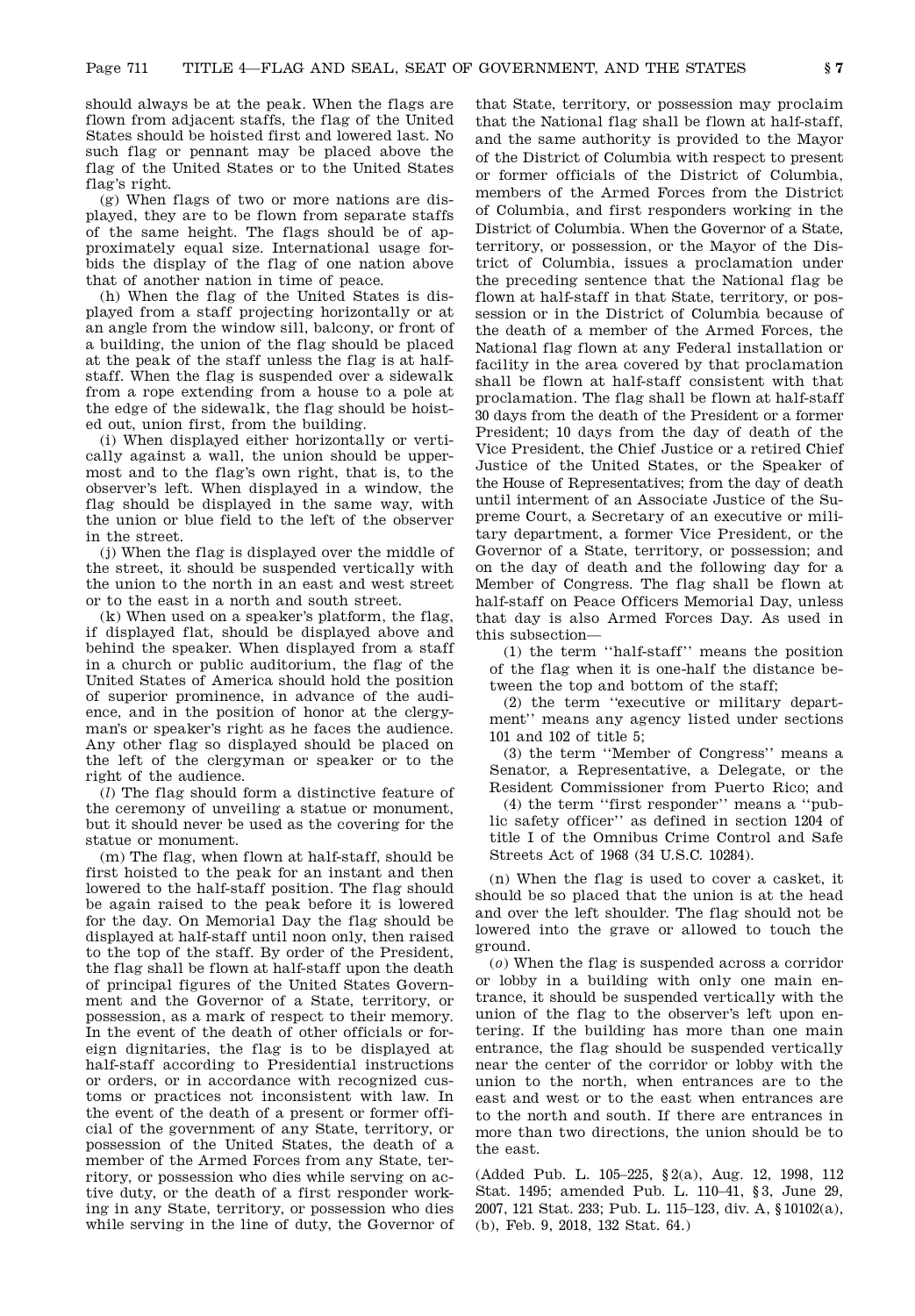should always be at the peak. When the flags are flown from adjacent staffs, the flag of the United States should be hoisted first and lowered last. No such flag or pennant may be placed above the flag of the United States or to the United States flag's right.

(g) When flags of two or more nations are dis played, they are to be flown from separate staffs of the same height. The flags should be of ap proximately equal size. International usage for bids the display of the flag of one nation above that of another nation in time of peace.

(h) When the flag of the United States is dis played from a staff projecting horizontally or at an angle from the window sill, balcony, or front of a building, the union of the flag should be placed at the peak of the staff unless the flag is at half staff. When the flag is suspended over a sidewalk from a rope extending from a house to a pole at the edge of the sidewalk, the flag should be hoist ed out, union first, from the building.

(i) When displayed either horizontally or verti cally against a wall, the union should be upper most and to the flag's own right, that is, to the observer's left. When displayed in a window, the flag should be displayed in the same way, with the union or blue field to the left of the observer in the street.

(j) When the flag is displayed over the middle of the street, it should be suspended vertically with the union to the north in an east and west street or to the east in a north and south street.

(k) When used on a speaker's platform, the flag, if displayed flat, should be displayed above and behind the speaker. When displayed from a staff in a church or public auditorium, the flag of the United States of America should hold the position of superior prominence, in advance of the audi ence, and in the position of honor at the clergy man's or speaker's right as he faces the audience. Any other flag so displayed should be placed on the left of the clergyman or speaker or to the right of the audience.

(*l*) The flag should form a distinctive feature of the ceremony of unveiling a statue or monument, but it should never be used as the covering for the statue or monument.

(m) The flag, when flown at half-staff, should be first hoisted to the peak for an instant and then lowered to the half-staff position. The flag should be again raised to the peak before it is lowered for the day. On Memorial Day the flag should be displayed at half-staff until noon only, then raised to the top of the staff. By order of the President, the flag shall be flown at half-staff upon the death of principal figures of the United States Govern ment and the Governor of a State, territory, or possession, as a mark of respect to their memory. In the event of the death of other officials or for eign dignitaries, the flag is to be displayed at half-staff according to Presidential instructions or orders, or in accordance with recognized cus toms or practices not inconsistent with law. In the event of the death of a present or former offi cial of the government of any State, territory, or possession of the United States, the death of a member of the Armed Forces from any State, ter ritory, or possession who dies while serving on ac tive duty, or the death of a first responder working in any State, territory, or possession who dies while serving in the line of duty, the Governor of

that State, territory, or possession may proclaim that the National flag shall be flown at half-staff, and the same authority is provided to the Mayor of the District of Columbia with respect to present or former officials of the District of Columbia, members of the Armed Forces from the District of Columbia, and first responders working in the District of Columbia. When the Governor of a State, territory, or possession, or the Mayor of the Dis trict of Columbia, issues a proclamation under the preceding sentence that the National flag be flown at half-staff in that State, territory, or pos session or in the District of Columbia because of the death of a member of the Armed Forces, the National flag flown at any Federal installation or facility in the area covered by that proclamation shall be flown at half-staff consistent with that proclamation. The flag shall be flown at half-staff 30 days from the death of the President or a former President; 10 days from the day of death of the Vice President, the Chief Justice or a retired Chief Justice of the United States, or the Speaker of the House of Representatives; from the day of death until interment of an Associate Justice of the Su preme Court, a Secretary of an executive or mili tary department, a former Vice President, or the Governor of a State, territory, or possession; and on the day of death and the following day for a Member of Congress. The flag shall be flown at half-staff on Peace Officers Memorial Day, unless that day is also Armed Forces Day. As used in this subsection—

(1) the term "half-staff" means the position of the flag when it is one-half the distance between the top and bottom of the staff;

(2) the term "executive or military depart ment" means any agency listed under sections 101 and 102 of title 5;

(3) the term "Member of Congress" means a Senator, a Representative, a Delegate, or the Resident Commissioner from Puerto Rico; and

(4) the term "first responder" means a "public safety officer" as defined in section 1204 of title I of the Omnibus Crime Control and Safe Streets Act of 1968 (34 U.S.C. 10284).

(n) When the flag is used to cover a casket, it should be so placed that the union is at the head and over the left shoulder. The flag should not be lowered into the grave or allowed to touch the ground.

(*o*) When the flag is suspended across a corridor or lobby in a building with only one main en trance, it should be suspended vertically with the union of the flag to the observer's left upon en tering. If the building has more than one main entrance, the flag should be suspended vertically near the center of the corridor or lobby with the union to the north, when entrances are to the east and west or to the east when entrances are to the north and south. If there are entrances in more than two directions, the union should be to the east.

(Added Pub. L. 105–225, § 2(a), Aug. 12, 1998, 112 Stat. 1495; amended Pub. L. 110–41, § 3, June 29, 2007, 121 Stat. 233; Pub. L. 115–123, div. A, § 10102(a), (b), Feb. 9, 2018, 132 Stat. 64.)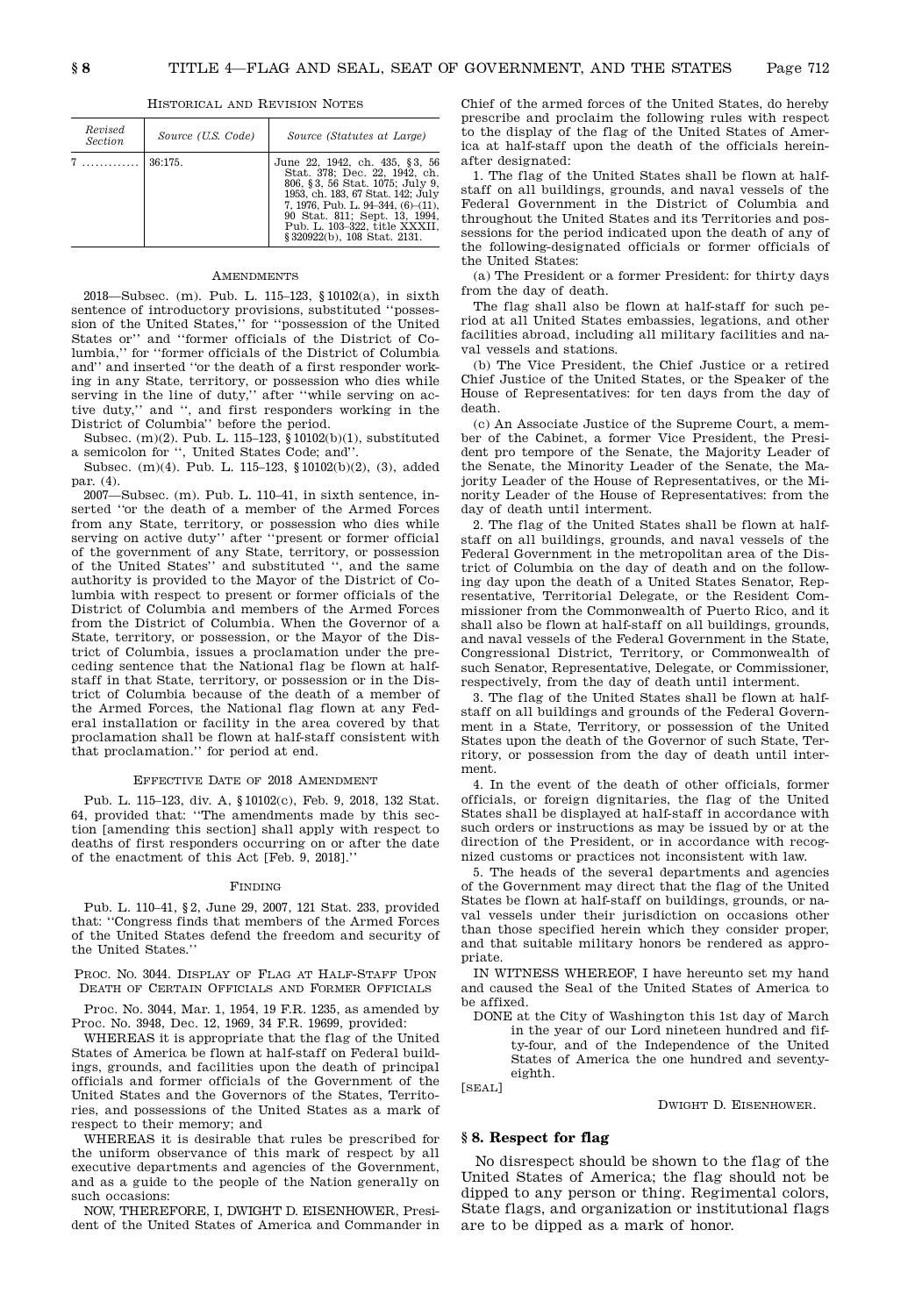| Revised<br><b>Section</b> | Source (U.S. Code) | Source (Statutes at Large)                                                                                                                                                                                                                                                             |
|---------------------------|--------------------|----------------------------------------------------------------------------------------------------------------------------------------------------------------------------------------------------------------------------------------------------------------------------------------|
|                           | 36:175.            | June 22, 1942, ch. 435, §3, 56<br>Stat. 378: Dec. 22. 1942. ch.<br>806, §3, 56 Stat, 1075; July 9,<br>1953. ch. 183. 67 Stat. 142: July<br>7, 1976, Pub. L. 94-344, $(6)$ – $(11)$ .<br>90 Stat. 811: Sept. 13. 1994.<br>Pub. L. 103–322. title XXXII.<br>§ 320922(b), 108 Stat. 2131. |

Historical and Revision Notes

#### **AMENDMENTS**

2018—Subsec. (m). Pub. L. 115–123, § 10102(a), in sixth sentence of introductory provisions, substituted "posses sion of the United States," for "possession of the United States or" and "former officials of the District of Columbia," for "former officials of the District of Columbia and" and inserted "or the death of a first responder working in any State, territory, or possession who dies while serving in the line of duty," after "while serving on ac tive duty," and ", and first responders working in the District of Columbia" before the period.

Subsec. (m)(2). Pub. L. 115–123, § 10102(b)(1), substituted a semicolon for ", United States Code; and".

Subsec. (m)(4). Pub. L. 115–123, § 10102(b)(2), (3), added par. (4).

2007—Subsec. (m). Pub. L. 110–41, in sixth sentence, in serted "or the death of a member of the Armed Forces from any State, territory, or possession who dies while serving on active duty" after "present or former official of the government of any State, territory, or possession of the United States" and substituted ", and the same authority is provided to the Mayor of the District of Columbia with respect to present or former officials of the District of Columbia and members of the Armed Forces from the District of Columbia. When the Governor of a State, territory, or possession, or the Mayor of the Dis trict of Columbia, issues a proclamation under the preceding sentence that the National flag be flown at half staff in that State, territory, or possession or in the Dis trict of Columbia because of the death of a member of the Armed Forces, the National flag flown at any Fed eral installation or facility in the area covered by that proclamation shall be flown at half-staff consistent with that proclamation." for period at end.

## Effective Date of 2018 Amendment

Pub. L. 115–123, div. A, § 10102(c), Feb. 9, 2018, 132 Stat. 64, provided that: "The amendments made by this sec tion [amending this section] shall apply with respect to deaths of first responders occurring on or after the date of the enactment of this Act [Feb. 9, 2018]."

#### **FINDING**

Pub. L. 110–41, § 2, June 29, 2007, 121 Stat. 233, provided that: "Congress finds that members of the Armed Forces of the United States defend the freedom and security of the United States."

PROC. NO. 3044. DISPLAY OF FLAG AT HALF-STAFF UPON DEATH OF CERTAIN OFFICIALS AND FORMER OFFICIALS

Proc. No. 3044, Mar. 1, 1954, 19 F.R. 1235, as amended by Proc. No. 3948, Dec. 12, 1969, 34 F.R. 19699, provided:

WHEREAS it is appropriate that the flag of the United States of America be flown at half-staff on Federal buildings, grounds, and facilities upon the death of principal officials and former officials of the Government of the United States and the Governors of the States, Territo ries, and possessions of the United States as a mark of respect to their memory; and

WHEREAS it is desirable that rules be prescribed for the uniform observance of this mark of respect by all executive departments and agencies of the Government, and as a guide to the people of the Nation generally on such occasions:

NOW, THEREFORE, I, DWIGHT D. EISENHOWER, Presi dent of the United States of America and Commander in Chief of the armed forces of the United States, do hereby prescribe and proclaim the following rules with respect to the display of the flag of the United States of America at half-staff upon the death of the officials herein after designated:

1953, ch. 183, 67 Stat. 142; July staff on all buildings, grounds, and naval vessels of the 1. The flag of the United States shall be flown at half- Federal Government in the District of Columbia and throughout the United States and its Territories and pos sessions for the period indicated upon the death of any of the following-designated officials or former officials of the United States:

> (a) The President or a former President: for thirty days from the day of death.

> The flag shall also be flown at half-staff for such pe riod at all United States embassies, legations, and other facilities abroad, including all military facilities and na val vessels and stations.

> (b) The Vice President, the Chief Justice or a retired Chief Justice of the United States, or the Speaker of the House of Representatives: for ten days from the day of death.

> (c) An Associate Justice of the Supreme Court, a mem ber of the Cabinet, a former Vice President, the Presi dent pro tempore of the Senate, the Majority Leader of the Senate, the Minority Leader of the Senate, the Majority Leader of the House of Representatives, or the Mi nority Leader of the House of Representatives: from the day of death until interment.

> 2. The flag of the United States shall be flown at half staff on all buildings, grounds, and naval vessels of the Federal Government in the metropolitan area of the Dis trict of Columbia on the day of death and on the following day upon the death of a United States Senator, Rep resentative, Territorial Delegate, or the Resident Com missioner from the Commonwealth of Puerto Rico, and it shall also be flown at half-staff on all buildings, grounds, and naval vessels of the Federal Government in the State, Congressional District, Territory, or Commonwealth of such Senator, Representative, Delegate, or Commissioner, respectively, from the day of death until interment.

> 3. The flag of the United States shall be flown at half staff on all buildings and grounds of the Federal Govern ment in a State, Territory, or possession of the United States upon the death of the Governor of such State, Ter ritory, or possession from the day of death until inter ment.

> 4. In the event of the death of other officials, former officials, or foreign dignitaries, the flag of the United States shall be displayed at half-staff in accordance with such orders or instructions as may be issued by or at the direction of the President, or in accordance with recog nized customs or practices not inconsistent with law.

> 5. The heads of the several departments and agencies of the Government may direct that the flag of the United States be flown at half-staff on buildings, grounds, or na val vessels under their jurisdiction on occasions other than those specified herein which they consider proper, and that suitable military honors be rendered as appro priate.

> IN WITNESS WHEREOF, I have hereunto set my hand and caused the Seal of the United States of America to be affixed.

DONE at the City of Washington this 1st day of March in the year of our Lord nineteen hundred and fif ty-four, and of the Independence of the United States of America the one hundred and seventy eighth.

[seal]

Dwight D. Eisenhower.

# **§ 8. Respect for flag**

No disrespect should be shown to the flag of the United States of America; the flag should not be dipped to any person or thing. Regimental colors, State flags, and organization or institutional flags are to be dipped as a mark of honor.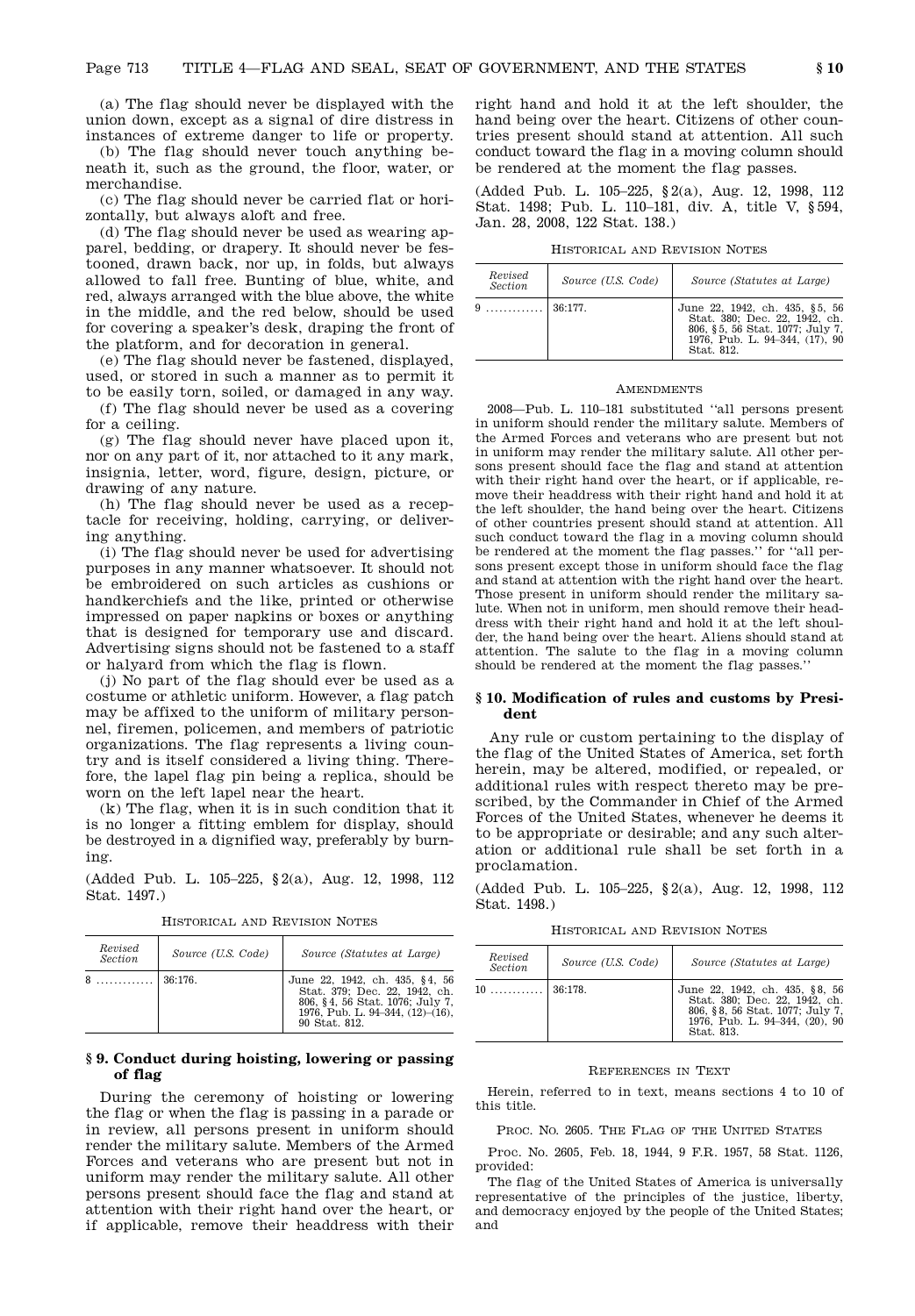(a) The flag should never be displayed with the union down, except as a signal of dire distress in instances of extreme danger to life or property.

(b) The flag should never touch anything be neath it, such as the ground, the floor, water, or merchandise.

(c) The flag should never be carried flat or hori zontally, but always aloft and free.

(d) The flag should never be used as wearing ap parel, bedding, or drapery. It should never be fes tooned, drawn back, nor up, in folds, but always allowed to fall free. Bunting of blue, white, and red, always arranged with the blue above, the white in the middle, and the red below, should be used for covering a speaker's desk, draping the front of the platform, and for decoration in general.

(e) The flag should never be fastened, displayed, used, or stored in such a manner as to permit it to be easily torn, soiled, or damaged in any way.

(f) The flag should never be used as a covering for a ceiling.

(g) The flag should never have placed upon it, nor on any part of it, nor attached to it any mark, insignia, letter, word, figure, design, picture, or drawing of any nature.

(h) The flag should never be used as a recep tacle for receiving, holding, carrying, or delivering anything.

(i) The flag should never be used for advertising purposes in any manner whatsoever. It should not be embroidered on such articles as cushions or handkerchiefs and the like, printed or otherwise impressed on paper napkins or boxes or anything that is designed for temporary use and discard. Advertising signs should not be fastened to a staff or halyard from which the flag is flown.

(j) No part of the flag should ever be used as a costume or athletic uniform. However, a flag patch may be affixed to the uniform of military person nel, firemen, policemen, and members of patriotic organizations. The flag represents a living coun try and is itself considered a living thing. Therefore, the lapel flag pin being a replica, should be worn on the left lapel near the heart.

(k) The flag, when it is in such condition that it is no longer a fitting emblem for display, should be destroyed in a dignified way, preferably by burning.

(Added Pub. L. 105–225, § 2(a), Aug. 12, 1998, 112 Stat. 1497.)

Historical and Revision Notes

| Revised<br>Section | Source (U.S. Code) | Source (Statutes at Large)                                                                                                                              | Re<br>Se |
|--------------------|--------------------|---------------------------------------------------------------------------------------------------------------------------------------------------------|----------|
| 8.                 | 136:176.           | June 22, 1942, ch. 435, §4, 56<br>Stat. 379: Dec. 22. 1942. ch.<br>806, §4, 56 Stat, 1076; July 7.<br>1976. Pub. L. 94-344. (12)-(16).<br>90 Stat. 812. | 10       |

## **§ 9. Conduct during hoisting, lowering or passing of flag**

During the ceremony of hoisting or lowering the flag or when the flag is passing in a parade or in review, all persons present in uniform should render the military salute. Members of the Armed Forces and veterans who are present but not in uniform may render the military salute. All other persons present should face the flag and stand at attention with their right hand over the heart, or if applicable, remove their headdress with their right hand and hold it at the left shoulder, the hand being over the heart. Citizens of other coun tries present should stand at attention. All such conduct toward the flag in a moving column should be rendered at the moment the flag passes.

(Added Pub. L. 105–225, § 2(a), Aug. 12, 1998, 112 Stat. 1498; Pub. L. 110–181, div. A, title V, § 594, Jan. 28, 2008, 122 Stat. 138.)

Historical and Revision Notes

| Revised<br>Section | Source (U.S. Code) | Source (Statutes at Large)                                                                                                                         |
|--------------------|--------------------|----------------------------------------------------------------------------------------------------------------------------------------------------|
|                    | 1.36:177.          | June 22, 1942, ch. 435, §5, 56<br>Stat. 380; Dec. 22, 1942, ch.<br>806, §5, 56 Stat. 1077; July 7,<br>1976. Pub. L. 94-344. (17). 90<br>Stat. 812. |

#### **AMENDMENTS**

2008—Pub. L. 110–181 substituted "all persons present in uniform should render the military salute. Members of the Armed Forces and veterans who are present but not in uniform may render the military salute. All other per sons present should face the flag and stand at attention with their right hand over the heart, or if applicable, re move their headdress with their right hand and hold it at the left shoulder, the hand being over the heart. Citizens of other countries present should stand at attention. All such conduct toward the flag in a moving column should be rendered at the moment the flag passes." for "all per sons present except those in uniform should face the flag and stand at attention with the right hand over the heart. Those present in uniform should render the military salute. When not in uniform, men should remove their head dress with their right hand and hold it at the left shoul der, the hand being over the heart. Aliens should stand at attention. The salute to the flag in a moving column should be rendered at the moment the flag passes."

## **§ 10. Modification of rules and customs by President**

Any rule or custom pertaining to the display of the flag of the United States of America, set forth herein, may be altered, modified, or repealed, or additional rules with respect thereto may be pre scribed, by the Commander in Chief of the Armed Forces of the United States, whenever he deems it to be appropriate or desirable; and any such alter ation or additional rule shall be set forth in a proclamation.

(Added Pub. L. 105–225, § 2(a), Aug. 12, 1998, 112 Stat. 1498.)

Historical and Revision Notes

| Revised<br><b>Section</b> | Source (U.S. Code) | Source (Statutes at Large)                                                                                                                         |
|---------------------------|--------------------|----------------------------------------------------------------------------------------------------------------------------------------------------|
|                           |                    | June 22, 1942, ch. 435, §8, 56<br>Stat. 380; Dec. 22, 1942, ch.<br>806, §8, 56 Stat. 1077; July 7,<br>1976. Pub. L. 94-344. (20). 90<br>Stat. 813. |

#### References in Text

Herein, referred to in text, means sections 4 to 10 of this title.

#### PROC. NO. 2605. THE FLAG OF THE UNITED STATES

Proc. No. 2605, Feb. 18, 1944, 9 F.R. 1957, 58 Stat. 1126, provided:

The flag of the United States of America is universally representative of the principles of the justice, liberty, and democracy enjoyed by the people of the United States; and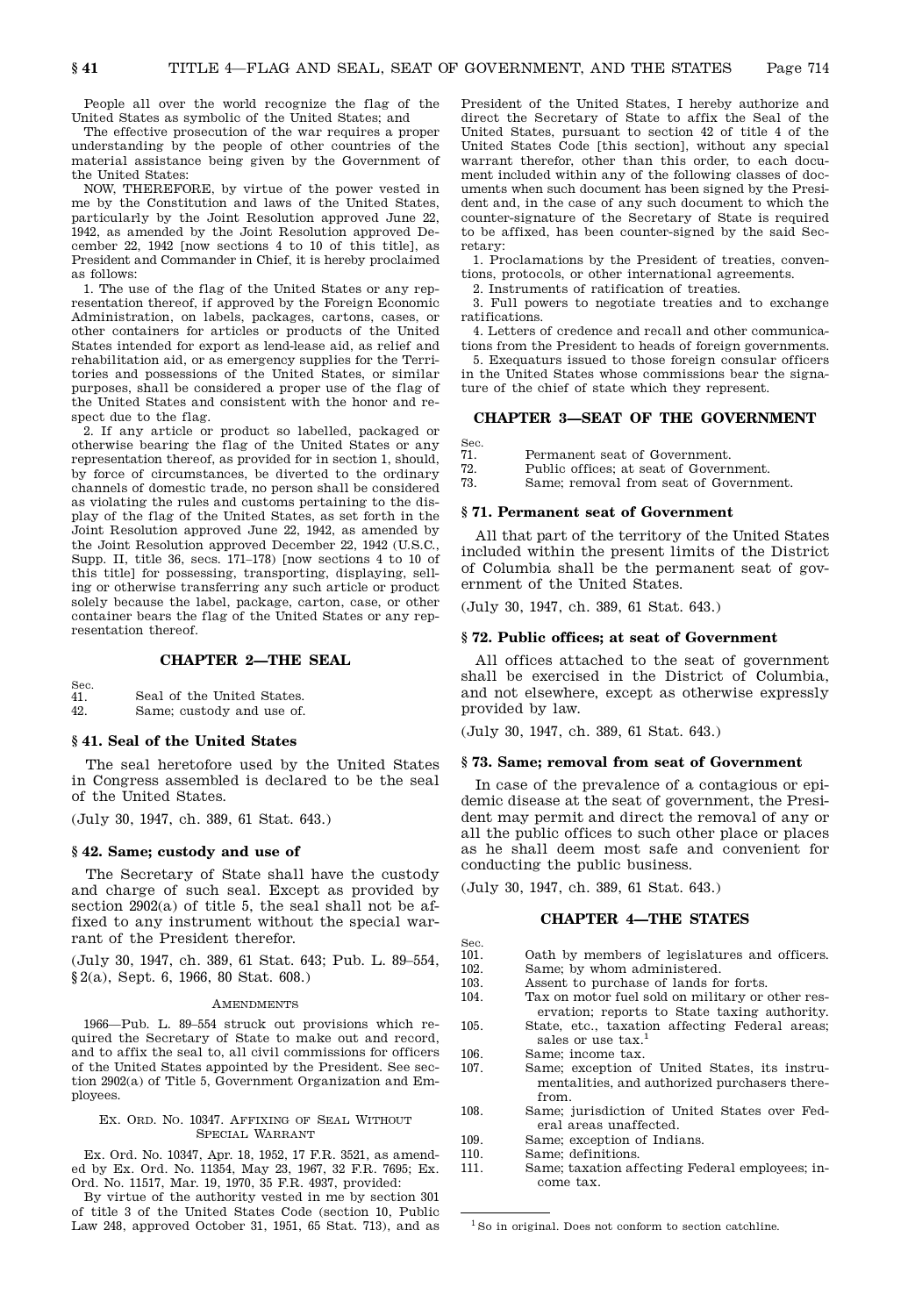People all over the world recognize the flag of the United States as symbolic of the United States; and

The effective prosecution of the war requires a proper understanding by the people of other countries of the material assistance being given by the Government of the United States:

NOW, THEREFORE, by virtue of the power vested in me by the Constitution and laws of the United States, particularly by the Joint Resolution approved June 22, 1942, as amended by the Joint Resolution approved De cember 22, 1942 [now sections 4 to 10 of this title], as President and Commander in Chief, it is hereby proclaimed as follows:

1. The use of the flag of the United States or any rep resentation thereof, if approved by the Foreign Economic Administration, on labels, packages, cartons, cases, or other containers for articles or products of the United States intended for export as lend-lease aid, as relief and rehabilitation aid, or as emergency supplies for the Terri tories and possessions of the United States, or similar purposes, shall be considered a proper use of the flag of the United States and consistent with the honor and respect due to the flag.

2. If any article or product so labelled, packaged or otherwise bearing the flag of the United States or any  $\frac{\text{Sec.}}{}$ representation thereof, as provided for in section 1, should,  $\frac{71}{1}$ , the critical form in section 1, should,  $\frac{72}{1}$ by force of circumstances, be diverted to the ordinary  $\frac{72}{73}$ channels of domestic trade, no person shall be considered as violating the rules and customs pertaining to the dis play of the flag of the United States, as set forth in the Joint Resolution approved June 22, 1942, as amended by the Joint Resolution approved December 22, 1942 (U.S.C., Supp. II, title 36, secs. 171–178) [now sections 4 to 10 of this title] for possessing, transporting, displaying, selling or otherwise transferring any such article or product solely because the label, package, carton, case, or other container bears the flag of the United States or any rep resentation thereof.

# **CHAPTER 2—THE SEAL**

Sec.<br>41. 41. Seal of the United States.<br>42. Same: custody and use of.

Same; custody and use of.

## **§ 41. Seal of the United States**

The seal heretofore used by the United States in Congress assembled is declared to be the seal of the United States.

(July 30, 1947, ch. 389, 61 Stat. 643.)

## **§ 42. Same; custody and use of**

The Secretary of State shall have the custody and charge of such seal. Except as provided by section 2902(a) of title 5, the seal shall not be affixed to any instrument without the special war rant of the President therefor.

(July 30, 1947, ch. 389, 61 Stat. 643; Pub. L. 89–554, § 2(a), Sept. 6, 1966, 80 Stat. 608.)

#### **AMENDMENTS**

1966—Pub. L. 89–554 struck out provisions which required the Secretary of State to make out and record, and to affix the seal to, all civil commissions for officers of the United States appointed by the President. See sec tion 2902(a) of Title 5, Government Organization and Em ployees.

# Ex. Ord. No. 10347. Affixing of Seal Without Special Warrant

Ex. Ord. No. 10347, Apr. 18, 1952, 17 F.R. 3521, as amend ed by Ex. Ord. No. 11354, May 23, 1967, 32 F.R. 7695; Ex. Ord. No. 11517, Mar. 19, 1970, 35 F.R. 4937, provided:

By virtue of the authority vested in me by section 301 of title 3 of the United States Code (section 10, Public Law 248, approved October 31, 1951, 65 Stat. 713), and as President of the United States, I hereby authorize and direct the Secretary of State to affix the Seal of the United States, pursuant to section 42 of title 4 of the United States Code [this section], without any special warrant therefor, other than this order, to each docu ment included within any of the following classes of doc uments when such document has been signed by the Presi dent and, in the case of any such document to which the counter-signature of the Secretary of State is required to be affixed, has been counter-signed by the said Sec retary:

1. Proclamations by the President of treaties, conven tions, protocols, or other international agreements.

2. Instruments of ratification of treaties.

3. Full powers to negotiate treaties and to exchange ratifications.

4. Letters of credence and recall and other communica tions from the President to heads of foreign governments.

5. Exequaturs issued to those foreign consular officers in the United States whose commissions bear the signa ture of the chief of state which they represent.

## **CHAPTER 3—SEAT OF THE GOVERNMENT**

Sec. Permanent seat of Government.

Public offices; at seat of Government.

Same: removal from seat of Government.

## **§ 71. Permanent seat of Government**

All that part of the territory of the United States included within the present limits of the District of Columbia shall be the permanent seat of gov ernment of the United States.

(July 30, 1947, ch. 389, 61 Stat. 643.)

#### **§ 72. Public offices; at seat of Government**

All offices attached to the seat of government shall be exercised in the District of Columbia, and not elsewhere, except as otherwise expressly provided by law.

(July 30, 1947, ch. 389, 61 Stat. 643.)

# **§ 73. Same; removal from seat of Government**

In case of the prevalence of a contagious or epi demic disease at the seat of government, the Presi dent may permit and direct the removal of any or all the public offices to such other place or places as he shall deem most safe and convenient for conducting the public business.

(July 30, 1947, ch. 389, 61 Stat. 643.)

Sec.

## **CHAPTER 4—THE STATES**

| 101. | Oath by members of legislatures and officers.                                                           |  |
|------|---------------------------------------------------------------------------------------------------------|--|
| 102. | Same: by whom administered.                                                                             |  |
| 103. | Assent to purchase of lands for forts.                                                                  |  |
| 104. | Tax on motor fuel sold on military or other res-<br>ervation; reports to State taxing authority.        |  |
| 105. | State, etc., taxation affecting Federal areas:<br>sales or use tax. <sup>1</sup>                        |  |
| 106. | Same; income tax.                                                                                       |  |
| 107. | Same; exception of United States, its instru-<br>mentalities, and authorized purchasers there-<br>from. |  |
| 108. | Same; jurisdiction of United States over Fed-<br>eral areas unaffected.                                 |  |
| 109. | Same: exception of Indians.                                                                             |  |
| 110. | Same: definitions.                                                                                      |  |
| 111. | Same; taxation affecting Federal employees; in-<br>come tax                                             |  |

 $1$  So in original. Does not conform to section catchline.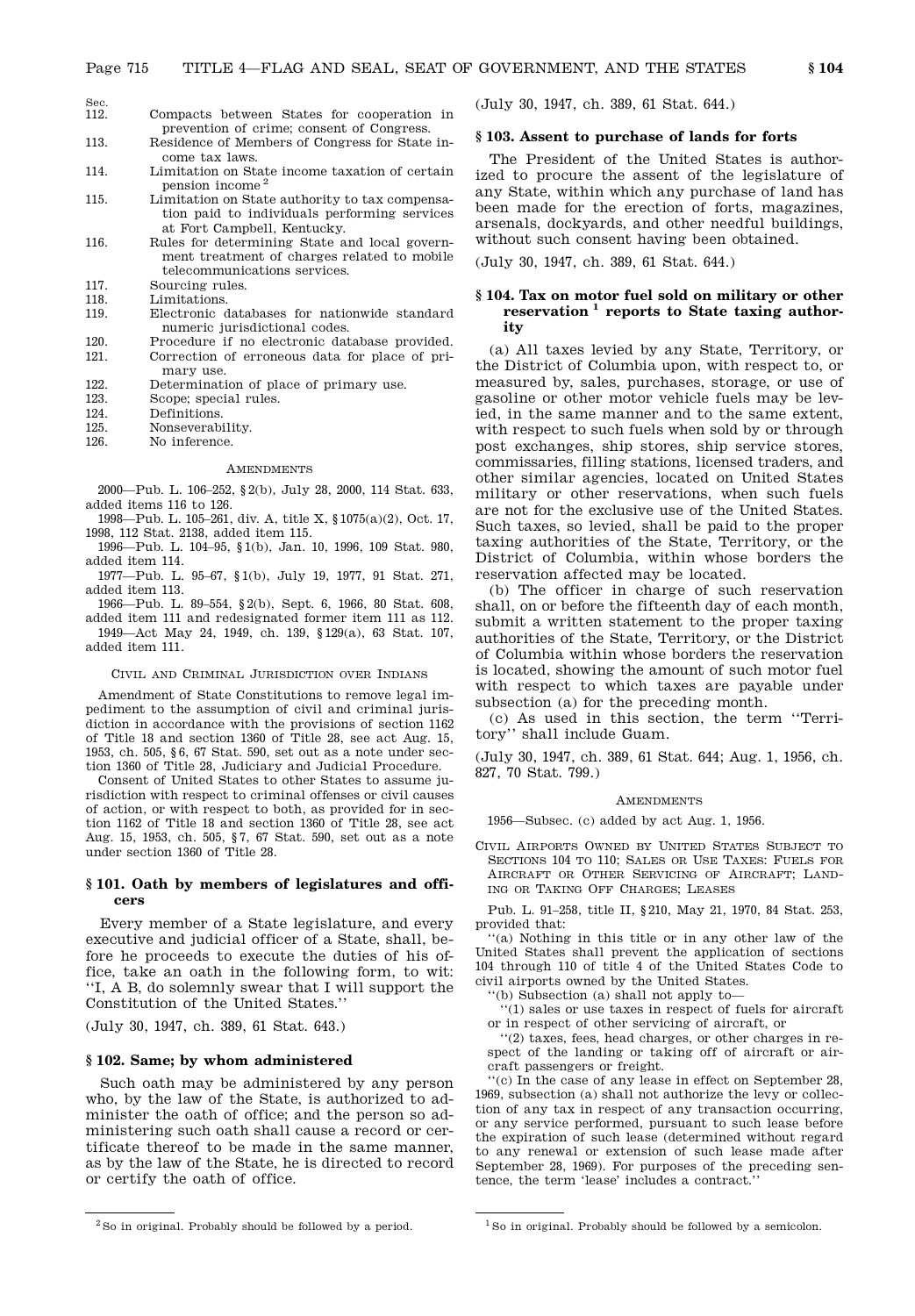- Sec. Compacts between States for cooperation in prevention of crime; consent of Congress.
- 113. Residence of Members of Congress for State in come tax laws.
- 114. Limitation on State income taxation of certain pension income 2
- 115. Limitation on State authority to tax compensa tion paid to individuals performing services at Fort Campbell, Kentucky.
- 116. Rules for determining State and local govern ment treatment of charges related to mobile telecommunications services.
- 117. Sourcing rules.<br>118. Limitations. Limitations.
- 119. Electronic databases for nationwide standard
- numeric jurisdictional codes.
- 120. Procedure if no electronic database provided.<br>121. Correction of erroneous data for place of pri-Correction of erroneous data for place of primary use.
- 122. Determination of place of primary use.
- 123. Scope; special rules.<br>124 Definitions
- Definitions.
- 125. Nonseverability. 126. No inference.

## **AMENDMENTS**

2000—Pub. L. 106–252, § 2(b), July 28, 2000, 114 Stat. 633, added items 116 to 126.

1998—Pub. L. 105–261, div. A, title X, § 1075(a)(2), Oct. 17, 1998, 112 Stat. 2138, added item 115.

1996—Pub. L. 104–95, § 1(b), Jan. 10, 1996, 109 Stat. 980, added item 114.

1977—Pub. L. 95–67, § 1(b), July 19, 1977, 91 Stat. 271, added item 113.

1966—Pub. L. 89–554, § 2(b), Sept. 6, 1966, 80 Stat. 608, added item 111 and redesignated former item 111 as 112. 1949—Act May 24, 1949, ch. 139, § 129(a), 63 Stat. 107, added item 111.

#### Civil and Criminal Jurisdiction over Indians

Amendment of State Constitutions to remove legal im pediment to the assumption of civil and criminal juris diction in accordance with the provisions of section 1162 of Title 18 and section 1360 of Title 28, see act Aug. 15, 1953, ch. 505, § 6, 67 Stat. 590, set out as a note under sec tion 1360 of Title 28, Judiciary and Judicial Procedure.

Consent of United States to other States to assume ju risdiction with respect to criminal offenses or civil causes of action, or with respect to both, as provided for in sec tion 1162 of Title 18 and section 1360 of Title 28, see act Aug. 15, 1953, ch. 505, § 7, 67 Stat. 590, set out as a note under section 1360 of Title 28.

## **§ 101. Oath by members of legislatures and offi cers**

Every member of a State legislature, and every executive and judicial officer of a State, shall, before he proceeds to execute the duties of his office, take an oath in the following form, to wit: "I, A B, do solemnly swear that I will support the Constitution of the United States."

(July 30, 1947, ch. 389, 61 Stat. 643.)

## **§ 102. Same; by whom administered**

Such oath may be administered by any person who, by the law of the State, is authorized to ad minister the oath of office; and the person so ad ministering such oath shall cause a record or cer tificate thereof to be made in the same manner, as by the law of the State, he is directed to record or certify the oath of office.

(July 30, 1947, ch. 389, 61 Stat. 644.)

# **§ 103. Assent to purchase of lands for forts**

The President of the United States is authorized to procure the assent of the legislature of any State, within which any purchase of land has been made for the erection of forts, magazines, arsenals, dockyards, and other needful buildings, without such consent having been obtained.

(July 30, 1947, ch. 389, 61 Stat. 644.)

## **§ 104. Tax on motor fuel sold on military or other reservation <sup>1</sup> reports to State taxing authority**

(a) All taxes levied by any State, Territory, or the District of Columbia upon, with respect to, or measured by, sales, purchases, storage, or use of gasoline or other motor vehicle fuels may be levied, in the same manner and to the same extent, with respect to such fuels when sold by or through post exchanges, ship stores, ship service stores, commissaries, filling stations, licensed traders, and other similar agencies, located on United States military or other reservations, when such fuels are not for the exclusive use of the United States. Such taxes, so levied, shall be paid to the proper taxing authorities of the State, Territory, or the District of Columbia, within whose borders the reservation affected may be located.

(b) The officer in charge of such reservation shall, on or before the fifteenth day of each month, submit a written statement to the proper taxing authorities of the State, Territory, or the District of Columbia within whose borders the reservation is located, showing the amount of such motor fuel with respect to which taxes are payable under subsection (a) for the preceding month.

(c) As used in this section, the term "Terri tory" shall include Guam.

(July 30, 1947, ch. 389, 61 Stat. 644; Aug. 1, 1956, ch. 827, 70 Stat. 799.)

#### **AMENDMENTS**

1956—Subsec. (c) added by act Aug. 1, 1956.

Civil Airports Owned by United States Subject to Sections 104 to 110; Sales or Use Taxes: Fuels for Aircraft or Other Servicing of Aircraft; Landing or Taking Off Charges; Leases

Pub. L. 91–258, title II, § 210, May 21, 1970, 84 Stat. 253, provided that:

"(a) Nothing in this title or in any other law of the United States shall prevent the application of sections 104 through 110 of title 4 of the United States Code to civil airports owned by the United States.

"(b) Subsection (a) shall not apply to—

"(1) sales or use taxes in respect of fuels for aircraft or in respect of other servicing of aircraft, or

"(2) taxes, fees, head charges, or other charges in re spect of the landing or taking off of aircraft or air craft passengers or freight.

"(c) In the case of any lease in effect on September 28, 1969, subsection (a) shall not authorize the levy or collec tion of any tax in respect of any transaction occurring, or any service performed, pursuant to such lease before the expiration of such lease (determined without regard to any renewal or extension of such lease made after September 28, 1969). For purposes of the preceding sen tence, the term 'lease' includes a contract."

 $2$  So in original. Probably should be followed by a period.  $1$  So in original. Probably should be followed by a semicolon.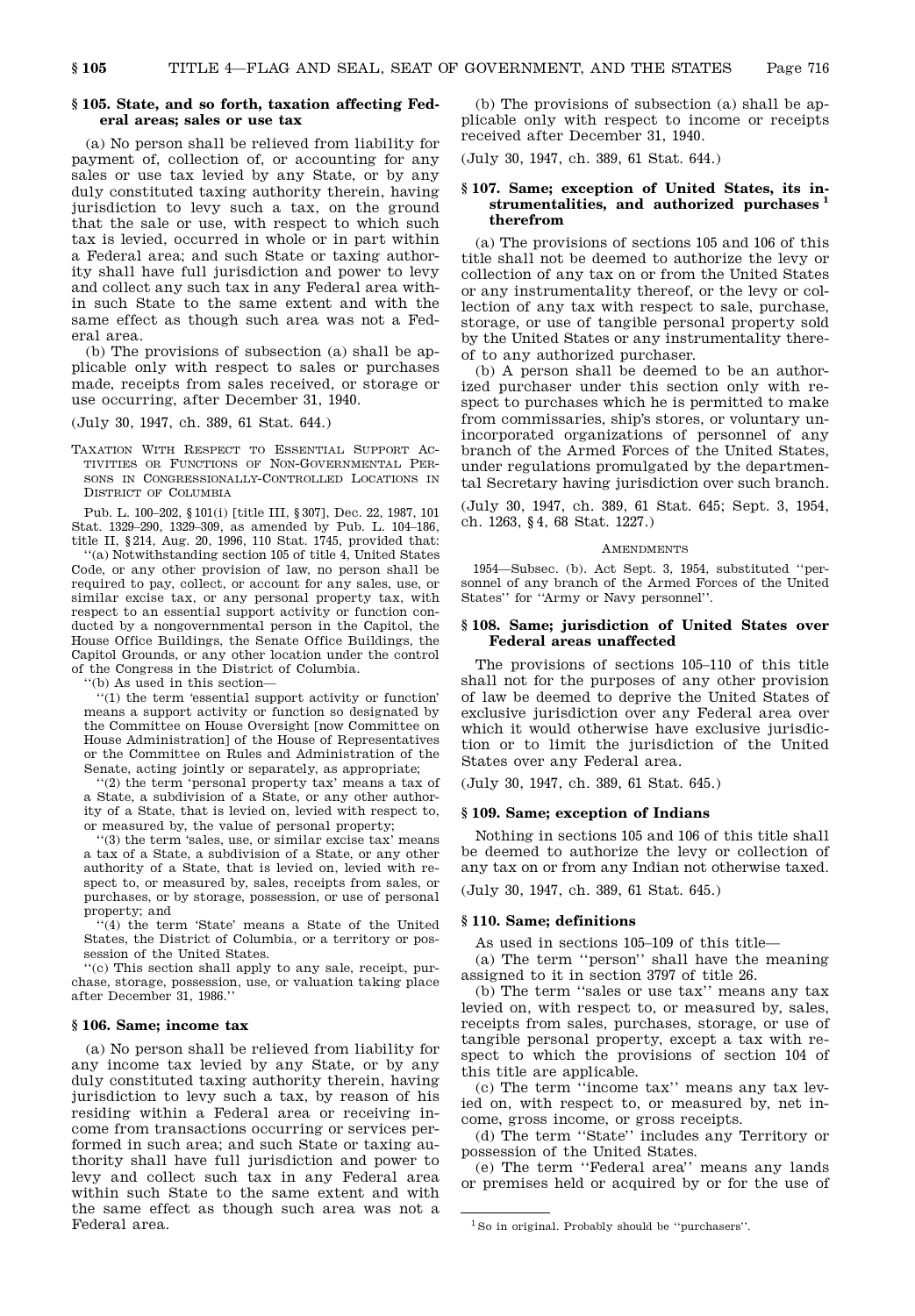## **§ 105. State, and so forth, taxation affecting Federal areas; sales or use tax**

(a) No person shall be relieved from liability for payment of, collection of, or accounting for any sales or use tax levied by any State, or by any duly constituted taxing authority therein, having jurisdiction to levy such a tax, on the ground that the sale or use, with respect to which such tax is levied, occurred in whole or in part within a Federal area; and such State or taxing authority shall have full jurisdiction and power to levy and collect any such tax in any Federal area within such State to the same extent and with the same effect as though such area was not a Fed eral area.

(b) The provisions of subsection (a) shall be ap plicable only with respect to sales or purchases made, receipts from sales received, or storage or use occurring, after December 31, 1940.

(July 30, 1947, ch. 389, 61 Stat. 644.)

Taxation With Respect to Essential Support Ac tivities or Functions of Non-Governmental Per sons in Congressionally-Controlled Locations in District of Columbia

Pub. L. 100–202, § 101(i) [title III, § 307], Dec. 22, 1987, 101 Stat. 1329–290, 1329–309, as amended by Pub. L. 104–186, title II, § 214, Aug. 20, 1996, 110 Stat. 1745, provided that:

"(a) Notwithstanding section 105 of title 4, United States Code, or any other provision of law, no person shall be required to pay, collect, or account for any sales, use, or similar excise tax, or any personal property tax, with respect to an essential support activity or function con ducted by a nongovernmental person in the Capitol, the House Office Buildings, the Senate Office Buildings, the Capitol Grounds, or any other location under the control of the Congress in the District of Columbia.

"(b) As used in this section—

"(1) the term 'essential support activity or function' means a support activity or function so designated by the Committee on House Oversight [now Committee on House Administration] of the House of Representatives or the Committee on Rules and Administration of the Senate, acting jointly or separately, as appropriate;

"(2) the term 'personal property tax' means a tax of a State, a subdivision of a State, or any other authority of a State, that is levied on, levied with respect to, or measured by, the value of personal property;

"(3) the term 'sales, use, or similar excise tax' means a tax of a State, a subdivision of a State, or any other authority of a State, that is levied on, levied with respect to, or measured by, sales, receipts from sales, or purchases, or by storage, possession, or use of personal property; and

"(4) the term 'State' means a State of the United States, the District of Columbia, or a territory or pos session of the United States.

"(c) This section shall apply to any sale, receipt, pur chase, storage, possession, use, or valuation taking place after December 31, 1986."

## **§ 106. Same; income tax**

(a) No person shall be relieved from liability for any income tax levied by any State, or by any duly constituted taxing authority therein, having jurisdiction to levy such a tax, by reason of his residing within a Federal area or receiving in come from transactions occurring or services performed in such area; and such State or taxing au thority shall have full jurisdiction and power to levy and collect such tax in any Federal area within such State to the same extent and with the same effect as though such area was not a Federal area.

(b) The provisions of subsection (a) shall be ap plicable only with respect to income or receipts received after December 31, 1940.

(July 30, 1947, ch. 389, 61 Stat. 644.)

## **§ 107. Same; exception of United States, its instrumentalities, and authorized purchases <sup>1</sup> therefrom**

(a) The provisions of sections 105 and 106 of this title shall not be deemed to authorize the levy or collection of any tax on or from the United States or any instrumentality thereof, or the levy or collection of any tax with respect to sale, purchase, storage, or use of tangible personal property sold by the United States or any instrumentality there of to any authorized purchaser.

(b) A person shall be deemed to be an authorized purchaser under this section only with respect to purchases which he is permitted to make from commissaries, ship's stores, or voluntary unincorporated organizations of personnel of any branch of the Armed Forces of the United States, under regulations promulgated by the departmen tal Secretary having jurisdiction over such branch.

(July 30, 1947, ch. 389, 61 Stat. 645; Sept. 3, 1954, ch. 1263, § 4, 68 Stat. 1227.)

#### **AMENDMENTS**

1954—Subsec. (b). Act Sept. 3, 1954, substituted "per sonnel of any branch of the Armed Forces of the United States" for "Army or Navy personnel".

## **§ 108. Same; jurisdiction of United States over Federal areas unaffected**

The provisions of sections 105–110 of this title shall not for the purposes of any other provision of law be deemed to deprive the United States of exclusive jurisdiction over any Federal area over which it would otherwise have exclusive jurisdic tion or to limit the jurisdiction of the United States over any Federal area.

(July 30, 1947, ch. 389, 61 Stat. 645.)

#### **§ 109. Same; exception of Indians**

Nothing in sections 105 and 106 of this title shall be deemed to authorize the levy or collection of any tax on or from any Indian not otherwise taxed.

(July 30, 1947, ch. 389, 61 Stat. 645.)

## **§ 110. Same; definitions**

As used in sections 105–109 of this title—

(a) The term "person" shall have the meaning assigned to it in section 3797 of title 26.

(b) The term "sales or use tax" means any tax levied on, with respect to, or measured by, sales, receipts from sales, purchases, storage, or use of tangible personal property, except a tax with respect to which the provisions of section 104 of this title are applicable.

(c) The term "income tax" means any tax levied on, with respect to, or measured by, net in come, gross income, or gross receipts.

(d) The term "State" includes any Territory or possession of the United States.

(e) The term "Federal area" means any lands or premises held or acquired by or for the use of

<sup>&</sup>lt;sup>1</sup> So in original. Probably should be "purchasers".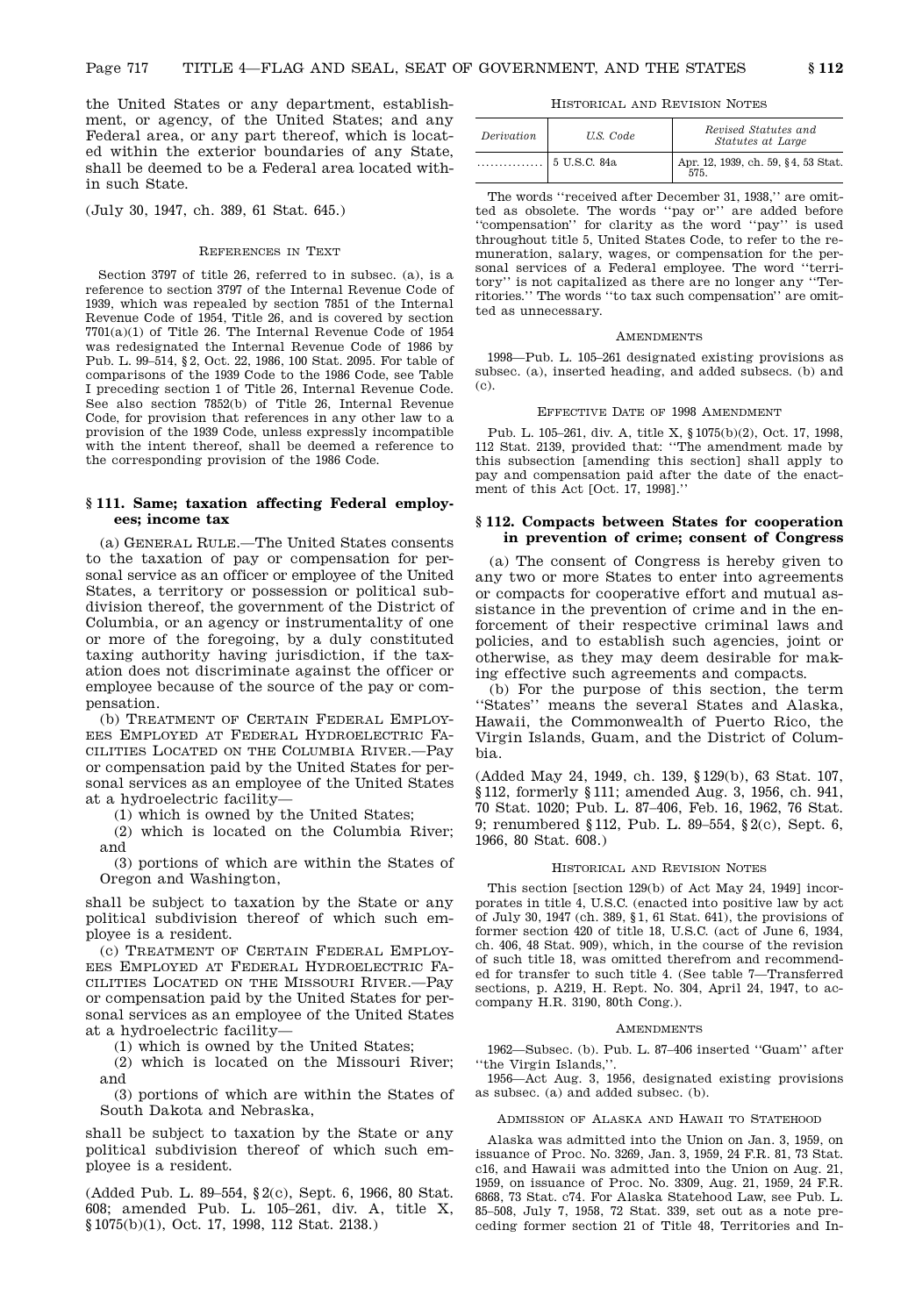the United States or any department, establish ment, or agency, of the United States; and any Federal area, or any part thereof, which is locat ed within the exterior boundaries of any State, shall be deemed to be a Federal area located within such State.

(July 30, 1947, ch. 389, 61 Stat. 645.)

## References in Text

Section 3797 of title 26, referred to in subsec. (a), is a reference to section 3797 of the Internal Revenue Code of 1939, which was repealed by section 7851 of the Internal Revenue Code of 1954, Title 26, and is covered by section 7701(a)(1) of Title 26. The Internal Revenue Code of 1954 was redesignated the Internal Revenue Code of 1986 by Pub. L. 99–514, § 2, Oct. 22, 1986, 100 Stat. 2095. For table of comparisons of the 1939 Code to the 1986 Code, see Table I preceding section 1 of Title 26, Internal Revenue Code. See also section 7852(b) of Title 26, Internal Revenue Code, for provision that references in any other law to a provision of the 1939 Code, unless expressly incompatible with the intent thereof, shall be deemed a reference to the corresponding provision of the 1986 Code.

## **§ 111. Same; taxation affecting Federal employees; income tax**

(a) General Rule.—The United States consents to the taxation of pay or compensation for per sonal service as an officer or employee of the United States, a territory or possession or political sub division thereof, the government of the District of Columbia, or an agency or instrumentality of one or more of the foregoing, by a duly constituted taxing authority having jurisdiction, if the tax ation does not discriminate against the officer or employee because of the source of the pay or com pensation.

(b) Treatment of Certain Federal Employ ees Employed at Federal Hydroelectric Fa cilities Located on the Columbia River.—Pay or compensation paid by the United States for per sonal services as an employee of the United States at a hydroelectric facility—

(1) which is owned by the United States;

(2) which is located on the Columbia River; and

(3) portions of which are within the States of Oregon and Washington,

shall be subject to taxation by the State or any political subdivision thereof of which such em ployee is a resident.

(c) Treatment of Certain Federal Employ ees Employed at Federal Hydroelectric Fa cilities Located on the Missouri River.—Pay or compensation paid by the United States for per sonal services as an employee of the United States at a hydroelectric facility—

(1) which is owned by the United States;

(2) which is located on the Missouri River; and

(3) portions of which are within the States of South Dakota and Nebraska,

shall be subject to taxation by the State or any political subdivision thereof of which such em ployee is a resident.

(Added Pub. L. 89–554, § 2(c), Sept. 6, 1966, 80 Stat. 608; amended Pub. L. 105–261, div. A, title X, § 1075(b)(1), Oct. 17, 1998, 112 Stat. 2138.)

Historical and Revision Notes

| <i>Derivation</i> | U.S. Code    | Revised Statutes and<br>Statutes at Large |
|-------------------|--------------|-------------------------------------------|
| .                 | 5 U.S.C. 84a | Apr. 12, 1939, ch. 59, §4, 53 Stat.       |

The words "received after December 31, 1938," are omit ted as obsolete. The words "pay or" are added before "compensation" for clarity as the word "pay" is used throughout title 5, United States Code, to refer to the re muneration, salary, wages, or compensation for the per sonal services of a Federal employee. The word "terri tory" is not capitalized as there are no longer any "Ter ritories." The words "to tax such compensation" are omit ted as unnecessary.

## **AMENDMENTS**

1998—Pub. L. 105–261 designated existing provisions as subsec. (a), inserted heading, and added subsecs. (b) and  $(c)$ .

#### Effective Date of 1998 Amendment

Pub. L. 105–261, div. A, title X, § 1075(b)(2), Oct. 17, 1998, 112 Stat. 2139, provided that: "The amendment made by this subsection [amending this section] shall apply to pay and compensation paid after the date of the enact ment of this Act [Oct. 17, 1998].'

## **§ 112. Compacts between States for cooperation in prevention of crime; consent of Congress**

(a) The consent of Congress is hereby given to any two or more States to enter into agreements or compacts for cooperative effort and mutual as sistance in the prevention of crime and in the enforcement of their respective criminal laws and policies, and to establish such agencies, joint or otherwise, as they may deem desirable for making effective such agreements and compacts.

(b) For the purpose of this section, the term "States" means the several States and Alaska, Hawaii, the Commonwealth of Puerto Rico, the Virgin Islands, Guam, and the District of Colum bia.

(Added May 24, 1949, ch. 139, § 129(b), 63 Stat. 107, § 112, formerly § 111; amended Aug. 3, 1956, ch. 941, 70 Stat. 1020; Pub. L. 87–406, Feb. 16, 1962, 76 Stat. 9; renumbered § 112, Pub. L. 89–554, § 2(c), Sept. 6, 1966, 80 Stat. 608.)

#### Historical and Revision Notes

This section [section 129(b) of Act May 24, 1949] incor porates in title 4, U.S.C. (enacted into positive law by act of July 30, 1947 (ch. 389, § 1, 61 Stat. 641), the provisions of former section 420 of title 18, U.S.C. (act of June 6, 1934, ch. 406, 48 Stat. 909), which, in the course of the revision of such title 18, was omitted therefrom and recommend ed for transfer to such title 4. (See table 7—Transferred sections, p. A219, H. Rept. No. 304, April 24, 1947, to ac company H.R. 3190, 80th Cong.).

#### **AMENDMENTS**

1962—Subsec. (b). Pub. L. 87–406 inserted "Guam" after "the Virgin Islands,".

1956—Act Aug. 3, 1956, designated existing provisions as subsec. (a) and added subsec. (b).

#### ADMISSION OF ALASKA AND HAWAII TO STATEHOOD

Alaska was admitted into the Union on Jan. 3, 1959, on issuance of Proc. No. 3269, Jan. 3, 1959, 24 F.R. 81, 73 Stat. c16, and Hawaii was admitted into the Union on Aug. 21, 1959, on issuance of Proc. No. 3309, Aug. 21, 1959, 24 F.R. 6868, 73 Stat. c74. For Alaska Statehood Law, see Pub. L. 85–508, July 7, 1958, 72 Stat. 339, set out as a note preceding former section 21 of Title 48, Territories and In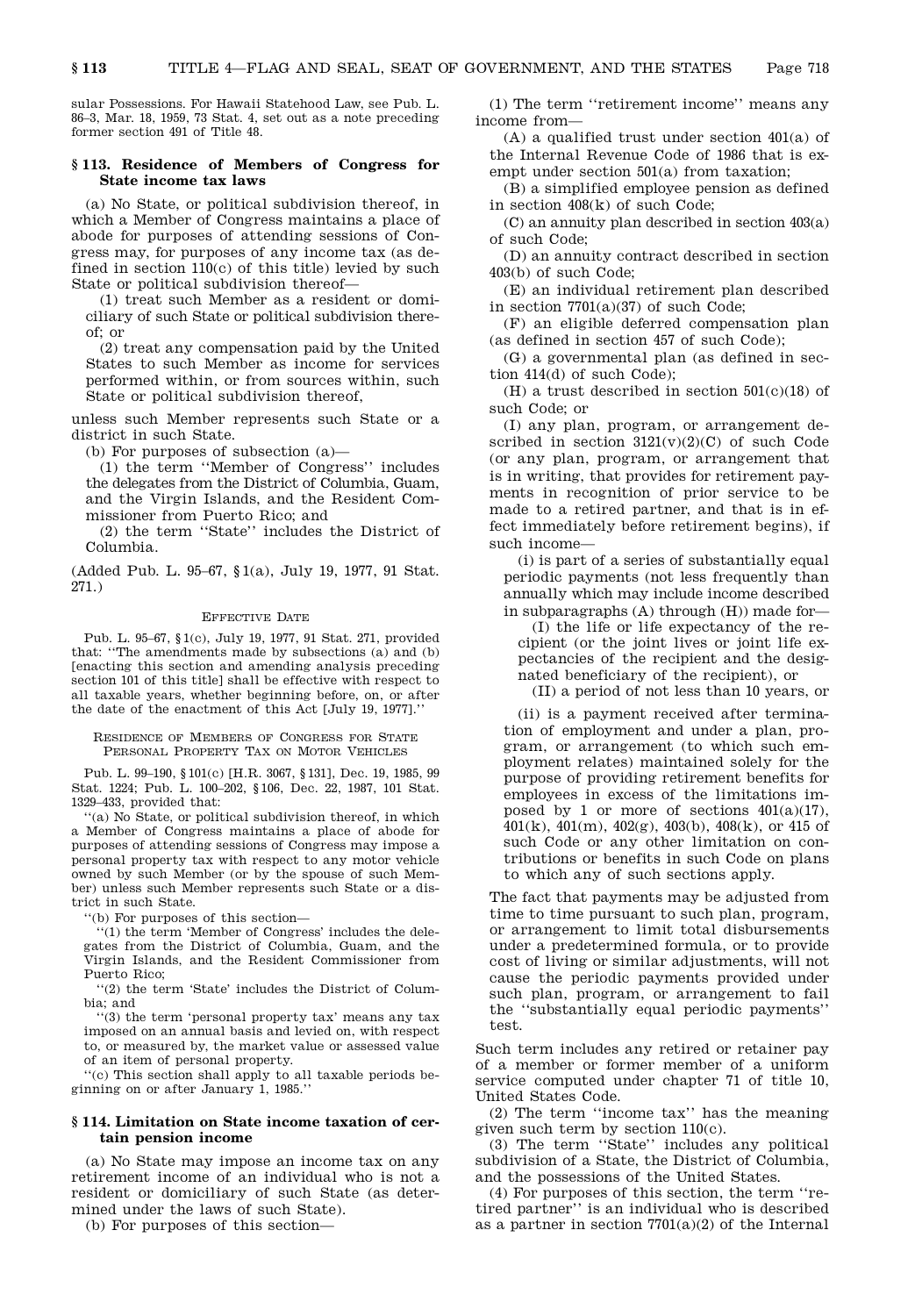sular Possessions. For Hawaii Statehood Law, see Pub. L. 86–3, Mar. 18, 1959, 73 Stat. 4, set out as a note preceding former section 491 of Title 48.

## **§ 113. Residence of Members of Congress for State income tax laws**

(a) No State, or political subdivision thereof, in which a Member of Congress maintains a place of abode for purposes of attending sessions of Con gress may, for purposes of any income tax (as defined in section 110(c) of this title) levied by such State or political subdivision thereof—

(1) treat such Member as a resident or domi ciliary of such State or political subdivision there of; or

(2) treat any compensation paid by the United States to such Member as income for services performed within, or from sources within, such State or political subdivision thereof,

unless such Member represents such State or a district in such State.

(b) For purposes of subsection (a)—

(1) the term "Member of Congress" includes the delegates from the District of Columbia, Guam, and the Virgin Islands, and the Resident Com missioner from Puerto Rico; and

(2) the term "State" includes the District of Columbia.

(Added Pub. L. 95–67, § 1(a), July 19, 1977, 91 Stat. 271.)

#### Effective Date

Pub. L. 95–67, § 1(c), July 19, 1977, 91 Stat. 271, provided that: "The amendments made by subsections (a) and (b) [enacting this section and amending analysis preceding section 101 of this title] shall be effective with respect to all taxable years, whether beginning before, on, or after the date of the enactment of this Act [July 19, 1977].'

Residence of Members of Congress for State PERSONAL PROPERTY TAX ON MOTOR VEHICLES

Pub. L. 99–190, § 101(c) [H.R. 3067, § 131], Dec. 19, 1985, 99 Stat. 1224; Pub. L. 100–202, § 106, Dec. 22, 1987, 101 Stat. 1329–433, provided that:

"(a) No State, or political subdivision thereof, in which a Member of Congress maintains a place of abode for purposes of attending sessions of Congress may impose a personal property tax with respect to any motor vehicle owned by such Member (or by the spouse of such Mem ber) unless such Member represents such State or a dis trict in such State.

"(b) For purposes of this section—

"(1) the term 'Member of Congress' includes the dele gates from the District of Columbia, Guam, and the Virgin Islands, and the Resident Commissioner from Puerto Rico;

"(2) the term 'State' includes the District of Colum bia; and

"(3) the term 'personal property tax' means any tax imposed on an annual basis and levied on, with respect to, or measured by, the market value or assessed value of an item of personal property.

"(c) This section shall apply to all taxable periods beginning on or after January 1, 1985."

## **§ 114. Limitation on State income taxation of certain pension income**

(a) No State may impose an income tax on any retirement income of an individual who is not a resident or domiciliary of such State (as deter mined under the laws of such State).

(b) For purposes of this section—

(1) The term "retirement income" means any income from—

(A) a qualified trust under section 401(a) of the Internal Revenue Code of 1986 that is ex empt under section 501(a) from taxation;

(B) a simplified employee pension as defined in section 408(k) of such Code;

(C) an annuity plan described in section 403(a) of such Code;

(D) an annuity contract described in section 403(b) of such Code;

(E) an individual retirement plan described in section  $7701(a)(37)$  of such Code;

(F) an eligible deferred compensation plan (as defined in section 457 of such Code);

(G) a governmental plan (as defined in sec tion 414(d) of such Code);

(H) a trust described in section  $501(c)(18)$  of such Code; or

(I) any plan, program, or arrangement de scribed in section  $3121(v)(2)(C)$  of such Code (or any plan, program, or arrangement that is in writing, that provides for retirement pay ments in recognition of prior service to be made to a retired partner, and that is in effect immediately before retirement begins), if such income-

(i) is part of a series of substantially equal periodic payments (not less frequently than annually which may include income described in subparagraphs (A) through (H)) made for—

(I) the life or life expectancy of the re cipient (or the joint lives or joint life ex pectancies of the recipient and the desig nated beneficiary of the recipient), or

(II) a period of not less than 10 years, or

(ii) is a payment received after termina tion of employment and under a plan, pro gram, or arrangement (to which such em ployment relates) maintained solely for the purpose of providing retirement benefits for employees in excess of the limitations im posed by 1 or more of sections  $401(a)(17)$ , 401(k), 401(m), 402(g), 403(b), 408(k), or 415 of such Code or any other limitation on con tributions or benefits in such Code on plans to which any of such sections apply.

The fact that payments may be adjusted from time to time pursuant to such plan, program, or arrangement to limit total disbursements under a predetermined formula, or to provide cost of living or similar adjustments, will not cause the periodic payments provided under such plan, program, or arrangement to fail the "substantially equal periodic payments" test.

Such term includes any retired or retainer pay of a member or former member of a uniform service computed under chapter 71 of title 10, United States Code.

(2) The term "income tax" has the meaning given such term by section 110(c).

(3) The term "State" includes any political subdivision of a State, the District of Columbia, and the possessions of the United States.

(4) For purposes of this section, the term "retired partner" is an individual who is described as a partner in section 7701(a)(2) of the Internal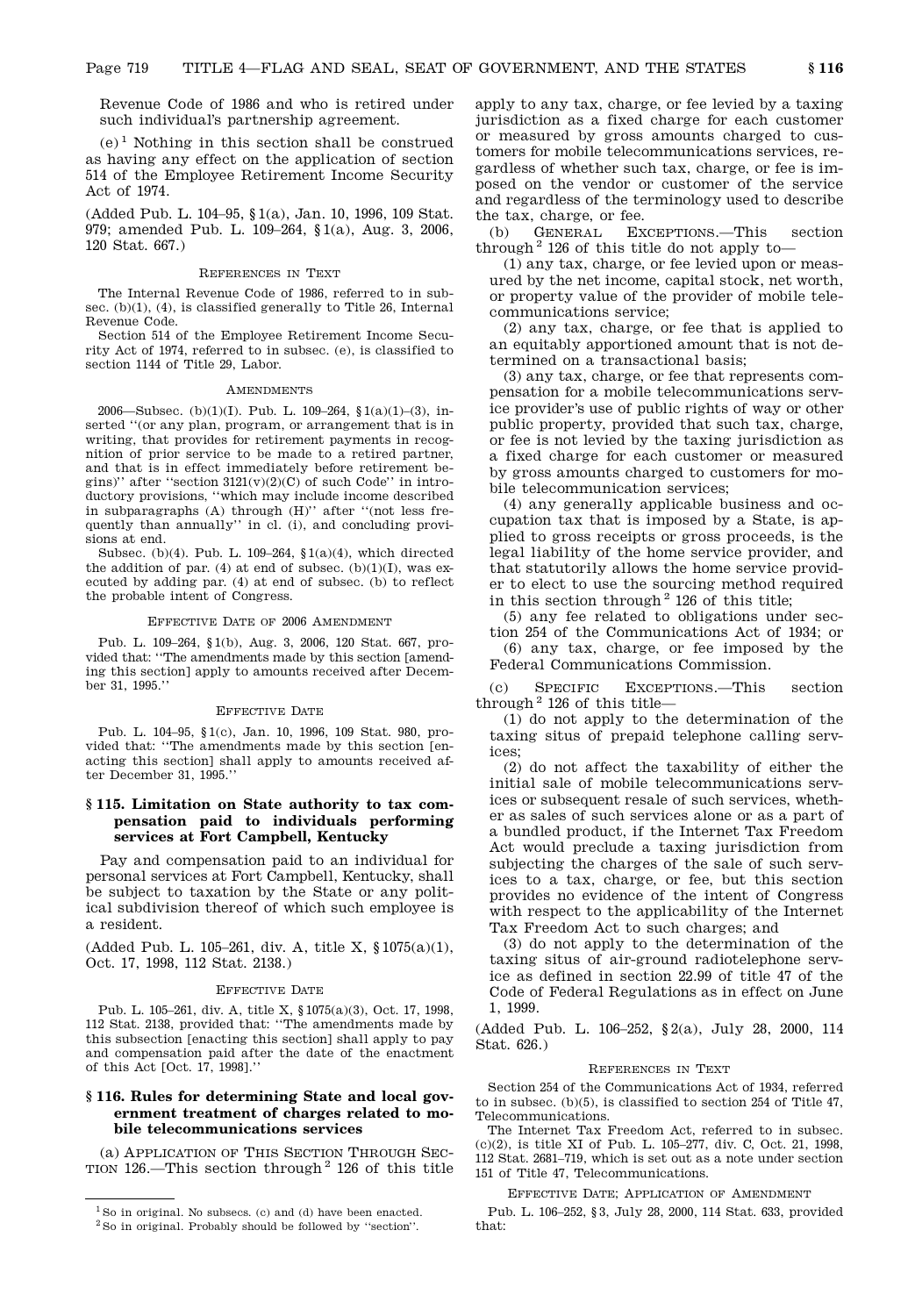Revenue Code of 1986 and who is retired under such individual's partnership agreement.

 $(e)^1$  Nothing in this section shall be construed  $\frac{1}{1}$ as having any effect on the application of section 514 of the Employee Retirement Income Security Act of 1974.

(Added Pub. L. 104–95, § 1(a), Jan. 10, 1996, 109 Stat. 979; amended Pub. L. 109–264, § 1(a), Aug. 3, 2006, 120 Stat. 667.)

#### References in Text

The Internal Revenue Code of 1986, referred to in sub sec. (b)(1), (4), is classified generally to Title 26, Internal Revenue Code.

Section 514 of the Employee Retirement Income Secu rity Act of 1974, referred to in subsec. (e), is classified to section 1144 of Title 29, Labor.

#### **AMENDMENTS**

2006—Subsec. (b)(1)(I). Pub. L. 109–264, § 1(a)(1)–(3), in serted "(or any plan, program, or arrangement that is in writing, that provides for retirement payments in recog nition of prior service to be made to a retired partner, and that is in effect immediately before retirement begins)" after "section  $3121(v)(2)(C)$  of such Code" in introductory provisions, "which may include income described in subparagraphs (A) through (H)" after "(not less fre quently than annually" in cl. (i), and concluding provi sions at end.

Subsec. (b)(4). Pub. L. 109–264, § 1(a)(4), which directed the addition of par. (4) at end of subsec.  $(b)(1)(I)$ , was executed by adding par. (4) at end of subsec. (b) to reflect the probable intent of Congress.

#### Effective Date of 2006 Amendment

Pub. L. 109–264, § 1(b), Aug. 3, 2006, 120 Stat. 667, pro vided that: "The amendments made by this section [amending this section] apply to amounts received after Decem ber 31, 1995."

#### Effective Date

Pub. L. 104–95, § 1(c), Jan. 10, 1996, 109 Stat. 980, pro vided that: "The amendments made by this section [en acting this section] shall apply to amounts received af ter December 31, 1995."

## **§ 115. Limitation on State authority to tax compensation paid to individuals performing services at Fort Campbell, Kentucky**

Pay and compensation paid to an individual for personal services at Fort Campbell, Kentucky, shall be subject to taxation by the State or any political subdivision thereof of which such employee is a resident.

(Added Pub. L. 105–261, div. A, title X, § 1075(a)(1), Oct. 17, 1998, 112 Stat. 2138.)

#### Effective Date

Pub. L. 105–261, div. A, title X, § 1075(a)(3), Oct. 17, 1998, 1, 199<br>112 Stat. 2138, provided that: "The amendments made by this subsection [enacting this section] shall apply to pay and compensation paid after the date of the enactment of this Act [Oct. 17, 1998]."

## **§ 116. Rules for determining State and local government treatment of charges related to mobile telecommunications services**

(a) Application of This Section Through Sec- TION 126.—This section through <sup>2</sup> 126 of this title  $\frac{112}{151}$  of T

apply to any tax, charge, or fee levied by a taxing jurisdiction as a fixed charge for each customer or measured by gross amounts charged to cus tomers for mobile telecommunications services, regardless of whether such tax, charge, or fee is im posed on the vendor or customer of the service and regardless of the terminology used to describe the tax, charge, or fee.<br>(b) GENERAL EX

EXCEPTIONS.—This section through <sup>2</sup> 126 of this title do not apply to—

(1) any tax, charge, or fee levied upon or meas ured by the net income, capital stock, net worth, or property value of the provider of mobile tele communications service;

(2) any tax, charge, or fee that is applied to an equitably apportioned amount that is not de termined on a transactional basis;

(3) any tax, charge, or fee that represents com pensation for a mobile telecommunications service provider's use of public rights of way or other public property, provided that such tax, charge, or fee is not levied by the taxing jurisdiction as a fixed charge for each customer or measured by gross amounts charged to customers for mo bile telecommunication services;

(4) any generally applicable business and oc cupation tax that is imposed by a State, is ap plied to gross receipts or gross proceeds, is the legal liability of the home service provider, and that statutorily allows the home service provid er to elect to use the sourcing method required in this section through <sup>2</sup> 126 of this title;

(5) any fee related to obligations under sec-

tion 254 of the Communications Act of 1934; or (6) any tax, charge, or fee imposed by the Federal Communications Commission.

(c) Specific Exceptions.—This section through <sup>2</sup> 126 of this title—

(1) do not apply to the determination of the taxing situs of prepaid telephone calling services;

(2) do not affect the taxability of either the initial sale of mobile telecommunications services or subsequent resale of such services, wheth er as sales of such services alone or as a part of a bundled product, if the Internet Tax Freedom Act would preclude a taxing jurisdiction from subjecting the charges of the sale of such services to a tax, charge, or fee, but this section provides no evidence of the intent of Congress with respect to the applicability of the Internet Tax Freedom Act to such charges; and

(3) do not apply to the determination of the taxing situs of air-ground radiotelephone service as defined in section 22.99 of title 47 of the Code of Federal Regulations as in effect on June 1, 1999.

(Added Pub. L. 106–252, § 2(a), July 28, 2000, 114 Stat. 626.)

## References in Text

Section 254 of the Communications Act of 1934, referred to in subsec. (b)(5), is classified to section 254 of Title 47, Telecommunications.

The Internet Tax Freedom Act, referred to in subsec. (c)(2), is title XI of Pub. L. 105–277, div. C, Oct. 21, 1998, 112 Stat. 2681–719, which is set out as a note under section 151 of Title 47, Telecommunications.

## Effective Date; Application of Amendment

Pub. L. 106–252, § 3, July 28, 2000, 114 Stat. 633, provided that:

 $1$  So in original. No subsecs. (c) and (d) have been enacted.

 $^2\!$  So in original. Probably should be followed by ''section''.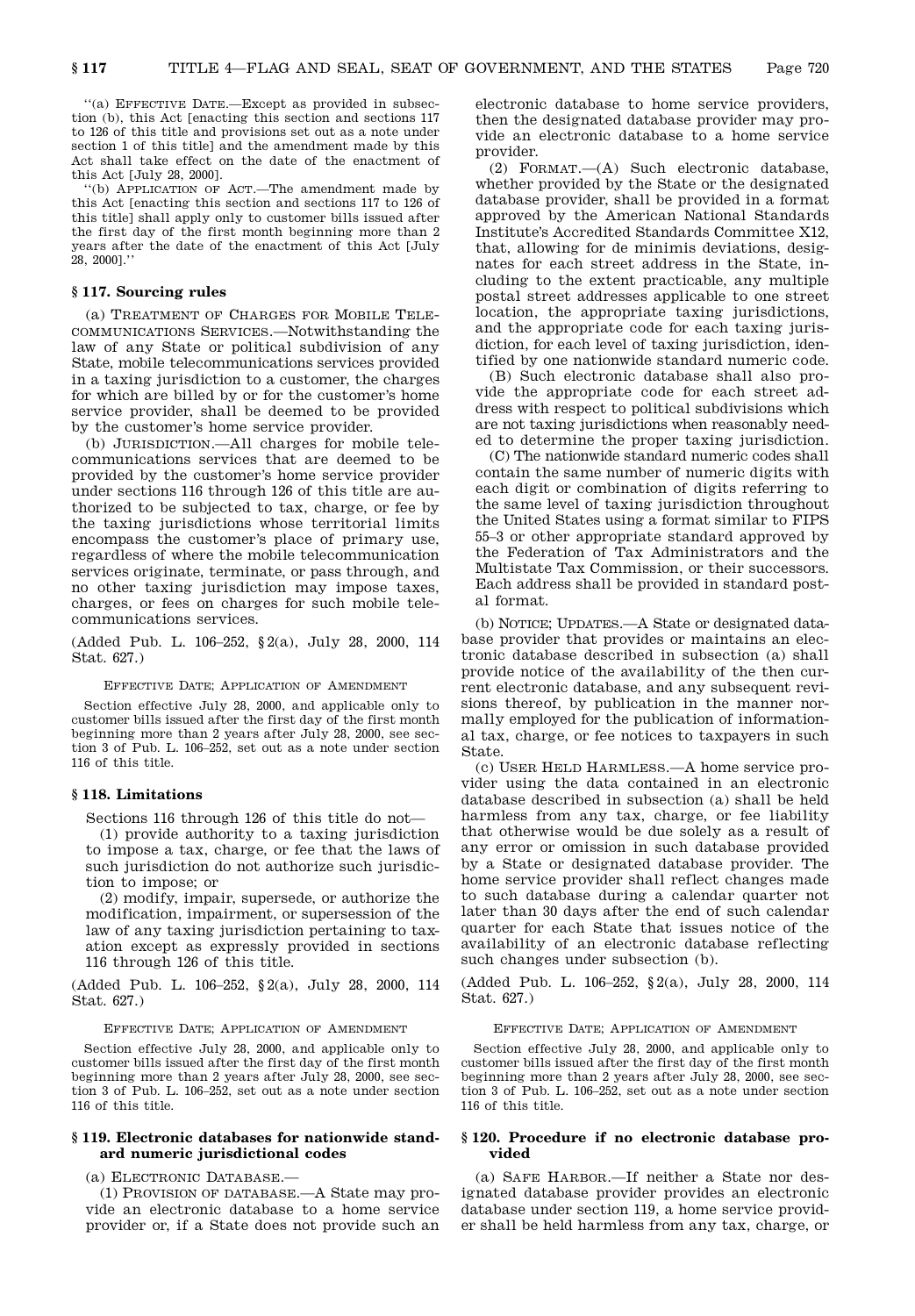"(a) EFFECTIVE DATE.—Except as provided in subsection (b), this Act [enacting this section and sections 117 to 126 of this title and provisions set out as a note under section 1 of this title] and the amendment made by this Act shall take effect on the date of the enactment of this Act [July 28, 2000].

"(b) APPLICATION OF ACT.—The amendment made by this Act [enacting this section and sections 117 to 126 of this title] shall apply only to customer bills issued after the first day of the first month beginning more than 2 years after the date of the enactment of this Act [July 28, 2000]."

## **§ 117. Sourcing rules**

(a) Treatment of Charges for Mobile Tele communications Services.—Notwithstanding the law of any State or political subdivision of any State, mobile telecommunications services provided in a taxing jurisdiction to a customer, the charges for which are billed by or for the customer's home service provider, shall be deemed to be provided by the customer's home service provider.

(b) JURISDICTION.—All charges for mobile telecommunications services that are deemed to be provided by the customer's home service provider under sections 116 through 126 of this title are au thorized to be subjected to tax, charge, or fee by the taxing jurisdictions whose territorial limits encompass the customer's place of primary use, regardless of where the mobile telecommunication services originate, terminate, or pass through, and no other taxing jurisdiction may impose taxes, charges, or fees on charges for such mobile tele communications services.

(Added Pub. L. 106–252, § 2(a), July 28, 2000, 114 Stat. 627.)

## Effective Date; Application of Amendment

Section effective July 28, 2000, and applicable only to customer bills issued after the first day of the first month beginning more than 2 years after July 28, 2000, see sec tion 3 of Pub. L. 106–252, set out as a note under section 116 of this title.

## **§ 118. Limitations**

Sections 116 through 126 of this title do not—

(1) provide authority to a taxing jurisdiction to impose a tax, charge, or fee that the laws of such jurisdiction do not authorize such jurisdic tion to impose; or

(2) modify, impair, supersede, or authorize the modification, impairment, or supersession of the law of any taxing jurisdiction pertaining to tax ation except as expressly provided in sections 116 through 126 of this title.

(Added Pub. L. 106–252, § 2(a), July 28, 2000, 114 Stat. 627.)

#### EFFECTIVE DATE: APPLICATION OF AMENDMENT

Section effective July 28, 2000, and applicable only to customer bills issued after the first day of the first month beginning more than 2 years after July 28, 2000, see sec tion 3 of Pub. L. 106–252, set out as a note under section 116 of this title.

## **§ 119. Electronic databases for nationwide standard numeric jurisdictional codes**

(a) Electronic Database.—

(1) Provision of database.—A State may pro vide an electronic database to a home service provider or, if a State does not provide such an electronic database to home service providers, then the designated database provider may pro vide an electronic database to a home service provider.

(2) Format.—(A) Such electronic database, whether provided by the State or the designated database provider, shall be provided in a format approved by the American National Standards Institute's Accredited Standards Committee X12, that, allowing for de minimis deviations, desig nates for each street address in the State, in cluding to the extent practicable, any multiple postal street addresses applicable to one street location, the appropriate taxing jurisdictions, and the appropriate code for each taxing juris diction, for each level of taxing jurisdiction, iden tified by one nationwide standard numeric code.

(B) Such electronic database shall also pro vide the appropriate code for each street ad dress with respect to political subdivisions which are not taxing jurisdictions when reasonably need ed to determine the proper taxing jurisdiction.

(C) The nationwide standard numeric codes shall contain the same number of numeric digits with each digit or combination of digits referring to the same level of taxing jurisdiction throughout the United States using a format similar to FIPS 55–3 or other appropriate standard approved by the Federation of Tax Administrators and the Multistate Tax Commission, or their successors. Each address shall be provided in standard post al format.

(b) NOTICE; UPDATES.—A State or designated database provider that provides or maintains an elec tronic database described in subsection (a) shall provide notice of the availability of the then cur rent electronic database, and any subsequent revi sions thereof, by publication in the manner nor mally employed for the publication of information al tax, charge, or fee notices to taxpayers in such State.

(c) User Held Harmless.—A home service pro vider using the data contained in an electronic database described in subsection (a) shall be held harmless from any tax, charge, or fee liability that otherwise would be due solely as a result of any error or omission in such database provided by a State or designated database provider. The home service provider shall reflect changes made to such database during a calendar quarter not later than 30 days after the end of such calendar quarter for each State that issues notice of the availability of an electronic database reflecting such changes under subsection (b).

(Added Pub. L. 106–252, § 2(a), July 28, 2000, 114 Stat. 627.)

#### EFFECTIVE DATE: APPLICATION OF AMENDMENT

Section effective July 28, 2000, and applicable only to customer bills issued after the first day of the first month beginning more than 2 years after July 28, 2000, see sec tion 3 of Pub. L. 106–252, set out as a note under section 116 of this title.

## **§ 120. Procedure if no electronic database provided**

(a) Safe Harbor.—If neither a State nor designated database provider provides an electronic database under section 119, a home service provid er shall be held harmless from any tax, charge, or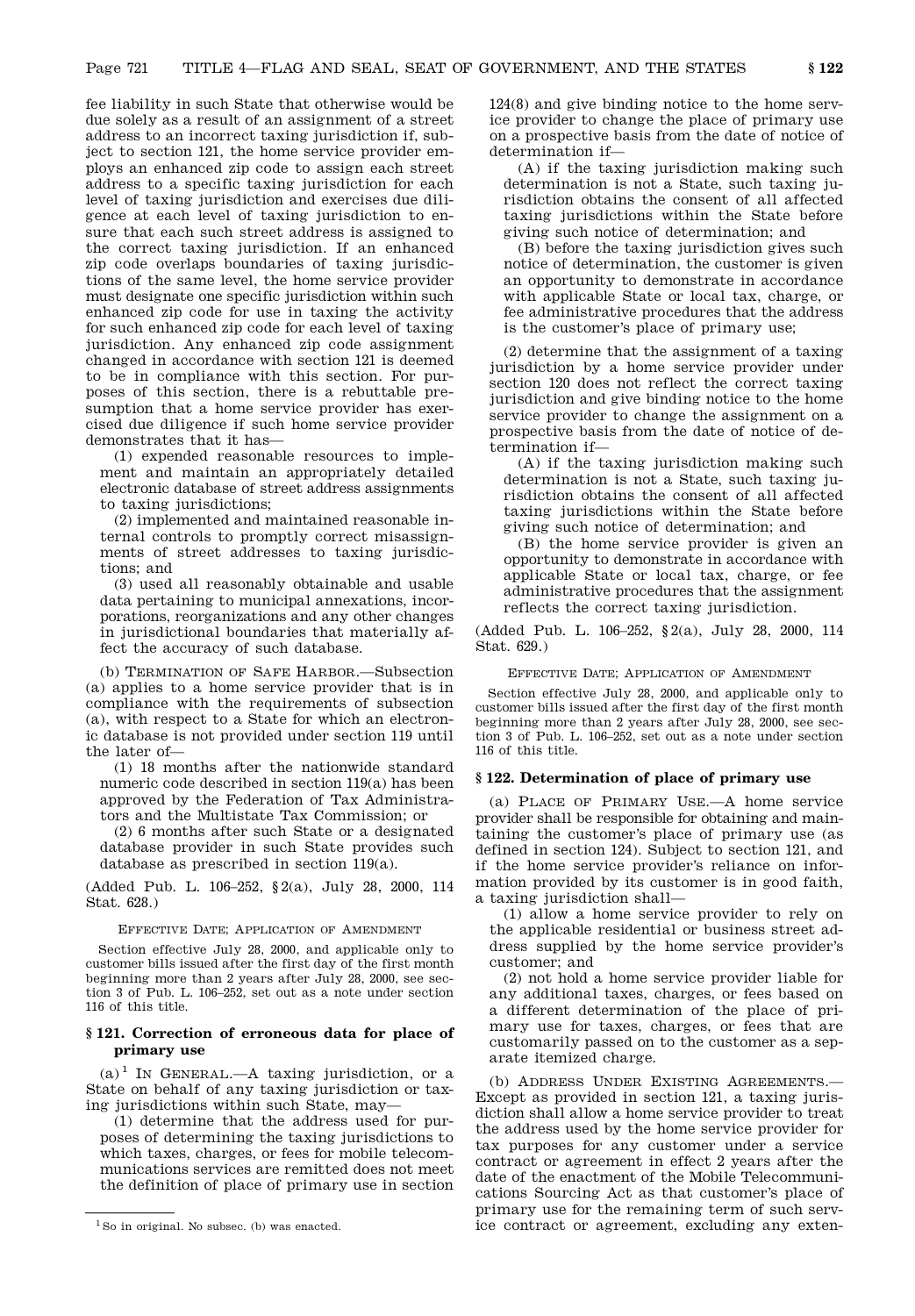fee liability in such State that otherwise would be due solely as a result of an assignment of a street address to an incorrect taxing jurisdiction if, subject to section 121, the home service provider em ploys an enhanced zip code to assign each street address to a specific taxing jurisdiction for each level of taxing jurisdiction and exercises due dili gence at each level of taxing jurisdiction to ensure that each such street address is assigned to the correct taxing jurisdiction. If an enhanced zip code overlaps boundaries of taxing jurisdic tions of the same level, the home service provider must designate one specific jurisdiction within such enhanced zip code for use in taxing the activity for such enhanced zip code for each level of taxing jurisdiction. Any enhanced zip code assignment changed in accordance with section 121 is deemed to be in compliance with this section. For pur poses of this section, there is a rebuttable pre sumption that a home service provider has exer cised due diligence if such home service provider demonstrates that it has—

(1) expended reasonable resources to imple ment and maintain an appropriately detailed electronic database of street address assignments to taxing jurisdictions;

(2) implemented and maintained reasonable in ternal controls to promptly correct misassign ments of street addresses to taxing jurisdic tions; and

(3) used all reasonably obtainable and usable data pertaining to municipal annexations, incor porations, reorganizations and any other changes in jurisdictional boundaries that materially affect the accuracy of such database.

(b) Termination of Safe Harbor.—Subsection (a) applies to a home service provider that is in compliance with the requirements of subsection (a), with respect to a State for which an electronic database is not provided under section 119 until the later of—

(1) 18 months after the nationwide standard numeric code described in section 119(a) has been approved by the Federation of Tax Administra tors and the Multistate Tax Commission; or

(2) 6 months after such State or a designated database provider in such State provides such database as prescribed in section 119(a).

(Added Pub. L. 106–252, § 2(a), July 28, 2000, 114 Stat. 628.)

## Effective Date; Application of Amendment

Section effective July 28, 2000, and applicable only to customer bills issued after the first day of the first month beginning more than 2 years after July 28, 2000, see sec tion 3 of Pub. L. 106–252, set out as a note under section 116 of this title.

## **§ 121. Correction of erroneous data for place of primary use**

 $(a)^1$  In GENERAL.—A taxing jurisdiction, or a State on behalf of any taxing jurisdiction or taxing jurisdictions within such State, may—

(1) determine that the address used for pur poses of determining the taxing jurisdictions to which taxes, charges, or fees for mobile telecom munications services are remitted does not meet the definition of place of primary use in section 124(8) and give binding notice to the home service provider to change the place of primary use on a prospective basis from the date of notice of determination if—

(A) if the taxing jurisdiction making such determination is not a State, such taxing ju risdiction obtains the consent of all affected taxing jurisdictions within the State before giving such notice of determination; and

(B) before the taxing jurisdiction gives such notice of determination, the customer is given an opportunity to demonstrate in accordance with applicable State or local tax, charge, or fee administrative procedures that the address is the customer's place of primary use;

(2) determine that the assignment of a taxing jurisdiction by a home service provider under section 120 does not reflect the correct taxing jurisdiction and give binding notice to the home service provider to change the assignment on a prospective basis from the date of notice of de termination if—

(A) if the taxing jurisdiction making such determination is not a State, such taxing ju risdiction obtains the consent of all affected taxing jurisdictions within the State before giving such notice of determination; and

(B) the home service provider is given an opportunity to demonstrate in accordance with applicable State or local tax, charge, or fee administrative procedures that the assignment reflects the correct taxing jurisdiction.

(Added Pub. L. 106–252, § 2(a), July 28, 2000, 114 Stat. 629.)

#### Effective Date; Application of Amendment

Section effective July 28, 2000, and applicable only to customer bills issued after the first day of the first month beginning more than 2 years after July 28, 2000, see sec tion 3 of Pub. L. 106–252, set out as a note under section 116 of this title.

## **§ 122. Determination of place of primary use**

(a) Place of Primary Use.—A home service provider shall be responsible for obtaining and main taining the customer's place of primary use (as defined in section 124). Subject to section 121, and if the home service provider's reliance on infor mation provided by its customer is in good faith, a taxing jurisdiction shall—

(1) allow a home service provider to rely on the applicable residential or business street ad dress supplied by the home service provider's customer; and

(2) not hold a home service provider liable for any additional taxes, charges, or fees based on a different determination of the place of pri mary use for taxes, charges, or fees that are customarily passed on to the customer as a sep arate itemized charge.

(b) Address Under Existing Agreements.— Except as provided in section 121, a taxing juris diction shall allow a home service provider to treat the address used by the home service provider for tax purposes for any customer under a service contract or agreement in effect 2 years after the date of the enactment of the Mobile Telecommuni cations Sourcing Act as that customer's place of primary use for the remaining term of such service contract or agreement, excluding any exten-

 $1$  So in original. No subsec. (b) was enacted.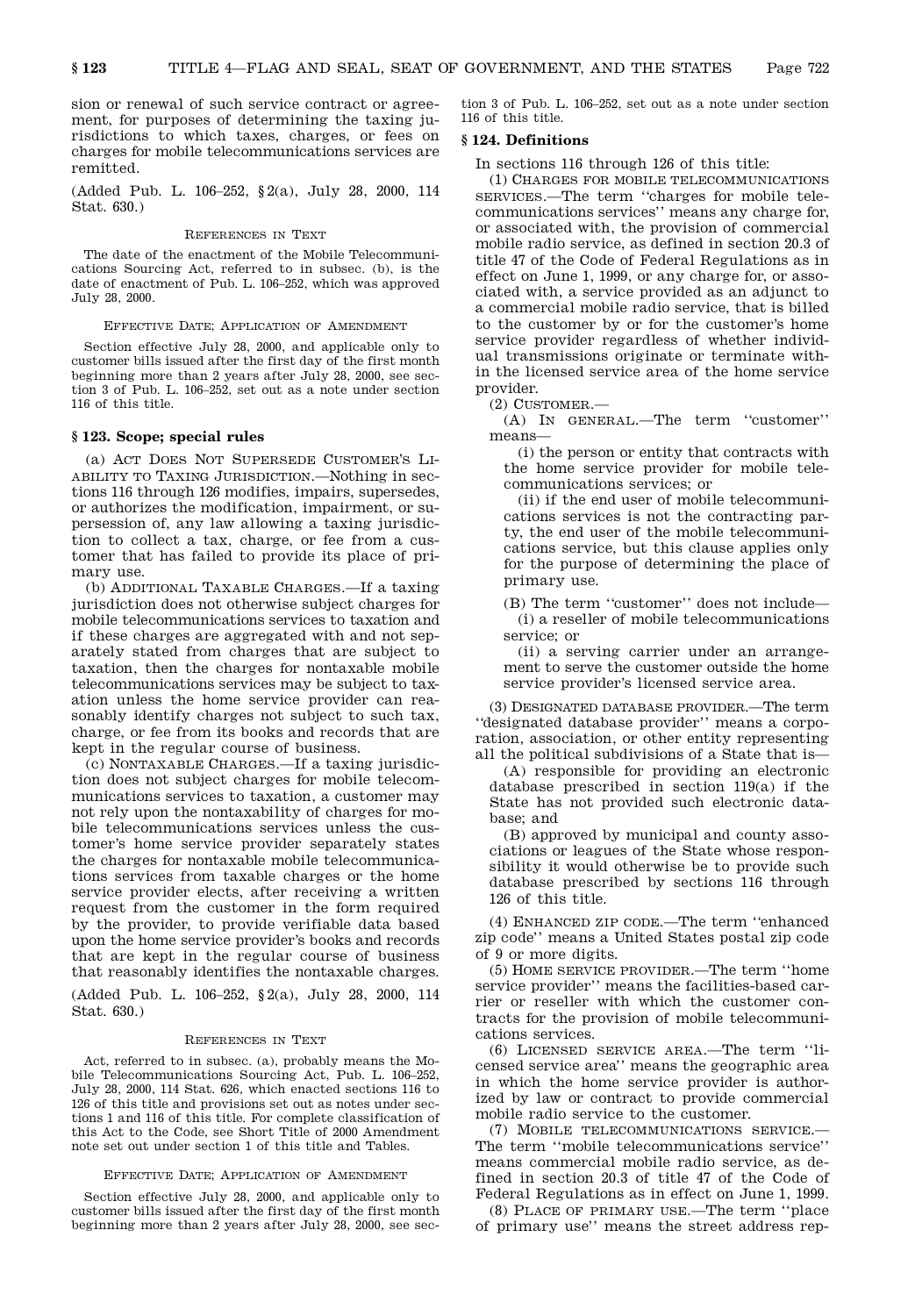sion or renewal of such service contract or agree ment, for purposes of determining the taxing ju risdictions to which taxes, charges, or fees on charges for mobile telecommunications services are remitted.

(Added Pub. L. 106–252, § 2(a), July 28, 2000, 114 Stat. 630.)

#### REFERENCES IN TEXT

The date of the enactment of the Mobile Telecommuni cations Sourcing Act, referred to in subsec. (b), is the date of enactment of Pub. L. 106–252, which was approved July 28, 2000.

## EFFECTIVE DATE: APPLICATION OF AMENDMENT

Section effective July 28, 2000, and applicable only to customer bills issued after the first day of the first month beginning more than 2 years after July 28, 2000, see sec tion 3 of Pub. L. 106–252, set out as a note under section 116 of this title.

## **§ 123. Scope; special rules**

(a) Act Does Not Supersede Customer's Li ability to Taxing Jurisdiction.—Nothing in sec tions 116 through 126 modifies, impairs, supersedes, or authorizes the modification, impairment, or su persession of, any law allowing a taxing jurisdic tion to collect a tax, charge, or fee from a cus tomer that has failed to provide its place of pri mary use.

(b) Additional Taxable Charges.—If a taxing jurisdiction does not otherwise subject charges for mobile telecommunications services to taxation and if these charges are aggregated with and not sep arately stated from charges that are subject to taxation, then the charges for nontaxable mobile telecommunications services may be subject to tax ation unless the home service provider can rea sonably identify charges not subject to such tax, charge, or fee from its books and records that are kept in the regular course of business.

(c) Nontaxable Charges.—If a taxing jurisdic tion does not subject charges for mobile telecom munications services to taxation, a customer may not rely upon the nontaxability of charges for mo bile telecommunications services unless the cus tomer's home service provider separately states the charges for nontaxable mobile telecommunica tions services from taxable charges or the home service provider elects, after receiving a written request from the customer in the form required by the provider, to provide verifiable data based upon the home service provider's books and records that are kept in the regular course of business that reasonably identifies the nontaxable charges.

(Added Pub. L. 106–252, § 2(a), July 28, 2000, 114 Stat. 630.)

#### References in Text

Act, referred to in subsec. (a), probably means the Mo bile Telecommunications Sourcing Act, Pub. L. 106–252, July 28, 2000, 114 Stat. 626, which enacted sections 116 to 126 of this title and provisions set out as notes under sec tions 1 and 116 of this title. For complete classification of this Act to the Code, see Short Title of 2000 Amendment note set out under section 1 of this title and Tables.

## Effective Date; Application of Amendment

Section effective July 28, 2000, and applicable only to customer bills issued after the first day of the first month beginning more than 2 years after July 28, 2000, see section 3 of Pub. L. 106–252, set out as a note under section 116 of this title.

## **§ 124. Definitions**

In sections 116 through 126 of this title:

(1) Charges for mobile telecommunications services.—The term "charges for mobile tele communications services" means any charge for, or associated with, the provision of commercial mobile radio service, as defined in section 20.3 of title 47 of the Code of Federal Regulations as in effect on June 1, 1999, or any charge for, or asso ciated with, a service provided as an adjunct to a commercial mobile radio service, that is billed to the customer by or for the customer's home service provider regardless of whether individ ual transmissions originate or terminate within the licensed service area of the home service provider.

(2) Customer.—

(A) IN GENERAL.—The term "customer" means—

(i) the person or entity that contracts with the home service provider for mobile tele communications services; or

(ii) if the end user of mobile telecommuni cations services is not the contracting par ty, the end user of the mobile telecommuni cations service, but this clause applies only for the purpose of determining the place of primary use.

(B) The term "customer" does not include— (i) a reseller of mobile telecommunications service; or

(ii) a serving carrier under an arrange ment to serve the customer outside the home service provider's licensed service area.

(3) Designated database provider.—The term "designated database provider" means a corpo ration, association, or other entity representing all the political subdivisions of a State that is—

(A) responsible for providing an electronic database prescribed in section 119(a) if the State has not provided such electronic data base; and

(B) approved by municipal and county asso ciations or leagues of the State whose respon sibility it would otherwise be to provide such database prescribed by sections 116 through 126 of this title.

(4) Enhanced zip code.—The term "enhanced zip code" means a United States postal zip code of 9 or more digits.

(5) Home service provider.—The term "home service provider" means the facilities-based car rier or reseller with which the customer con tracts for the provision of mobile telecommuni cations services.

(6) Licensed service area.—The term "li censed service area" means the geographic area in which the home service provider is authorized by law or contract to provide commercial mobile radio service to the customer.

(7) Mobile telecommunications service.— The term "mobile telecommunications service" means commercial mobile radio service, as defined in section 20.3 of title 47 of the Code of Federal Regulations as in effect on June 1, 1999.

(8) Place of primary use.—The term "place of primary use" means the street address rep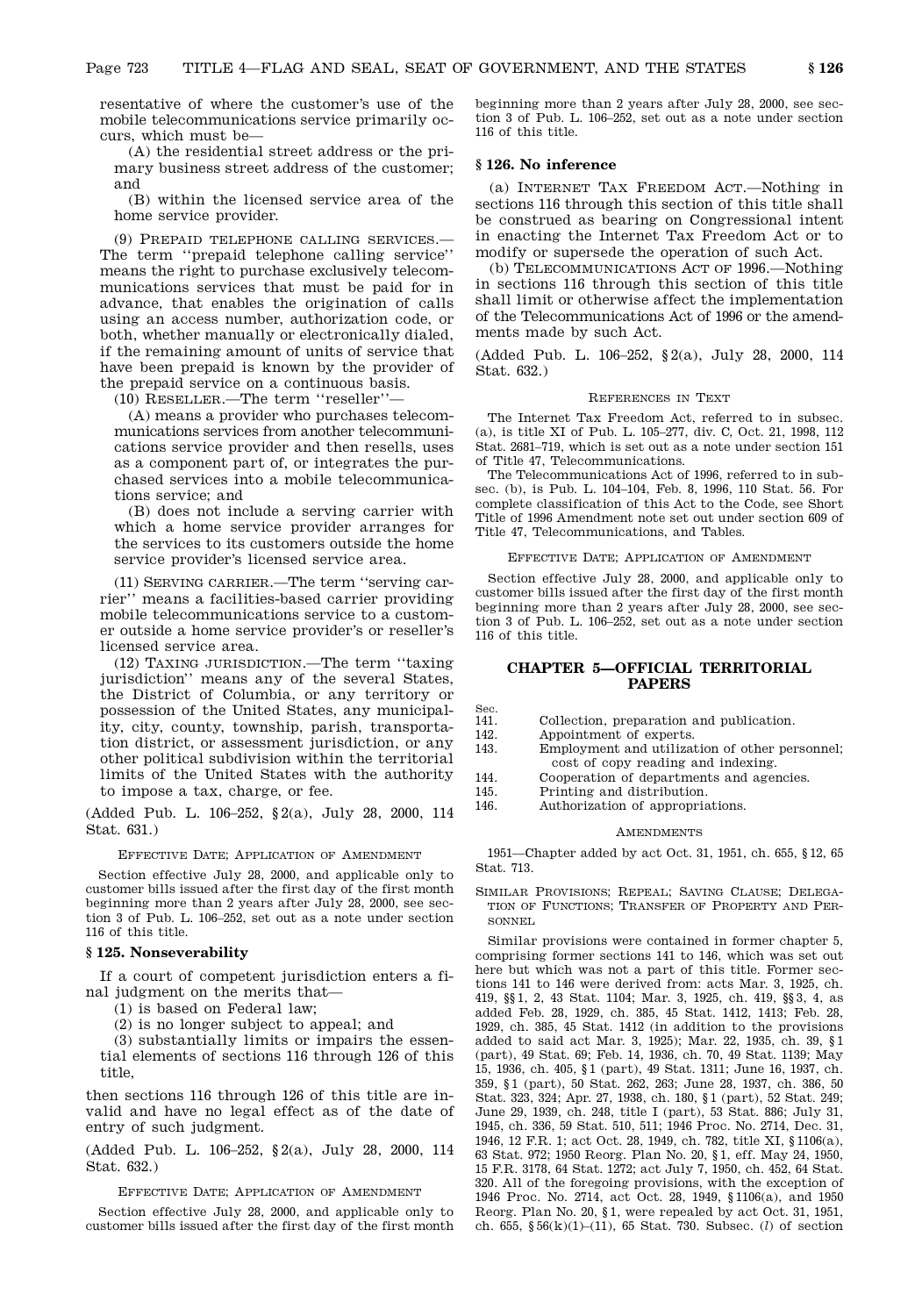resentative of where the customer's use of the mobile telecommunications service primarily oc curs, which must be—

(A) the residential street address or the pri mary business street address of the customer; and

(B) within the licensed service area of the home service provider.

(9) Prepaid telephone calling services.— The term "prepaid telephone calling service" means the right to purchase exclusively telecom munications services that must be paid for in advance, that enables the origination of calls using an access number, authorization code, or both, whether manually or electronically dialed, if the remaining amount of units of service that have been prepaid is known by the provider of the prepaid service on a continuous basis.

(10) Reseller.—The term "reseller"—

(A) means a provider who purchases telecom munications services from another telecommuni cations service provider and then resells, uses as a component part of, or integrates the pur chased services into a mobile telecommunica tions service; and

(B) does not include a serving carrier with which a home service provider arranges for the services to its customers outside the home service provider's licensed service area.

(11) SERVING CARRIER.—The term "serving carrier" means a facilities-based carrier providing mobile telecommunications service to a custom er outside a home service provider's or reseller's licensed service area.

(12) Taxing jurisdiction.—The term "taxing jurisdiction" means any of the several States, the District of Columbia, or any territory or possession of the United States, any municipality, city, county, township, parish, transporta- $\frac{141}{142}$ tion district, or assessment jurisdiction, or any  $\frac{1+2}{143}$ . other political subdivision within the territorial limits of the United States with the authority to impose a tax, charge, or fee.

(Added Pub. L. 106-252, § 2(a), July 28, 2000, 114 <sup>146.</sup> Stat. 631.)

#### Effective Date; Application of Amendment

Section effective July 28, 2000, and applicable only to customer bills issued after the first day of the first month beginning more than 2 years after July 28, 2000, see sec tion 3 of Pub. L. 106–252, set out as a note under section 116 of this title.

# **§ 125. Nonseverability**

If a court of competent jurisdiction enters a fi nal judgment on the merits that—

- (1) is based on Federal law;
- (2) is no longer subject to appeal; and

(3) substantially limits or impairs the essen tial elements of sections 116 through 126 of this title,

then sections 116 through 126 of this title are in valid and have no legal effect as of the date of entry of such judgment.

(Added Pub. L. 106–252, § 2(a), July 28, 2000, 114 Stat. 632.)

#### EFFECTIVE DATE: APPLICATION OF AMENDMENT

Section effective July 28, 2000, and applicable only to customer bills issued after the first day of the first month beginning more than 2 years after July 28, 2000, see sec tion 3 of Pub. L. 106–252, set out as a note under section 116 of this title.

## **§ 126. No inference**

(a) Internet Tax Freedom Act.—Nothing in sections 116 through this section of this title shall be construed as bearing on Congressional intent in enacting the Internet Tax Freedom Act or to modify or supersede the operation of such Act.

(b) Telecommunications Act of 1996.—Nothing in sections 116 through this section of this title shall limit or otherwise affect the implementation of the Telecommunications Act of 1996 or the amend ments made by such Act.

(Added Pub. L. 106–252, § 2(a), July 28, 2000, 114 Stat. 632.)

#### REFERENCES IN TEXT

The Internet Tax Freedom Act, referred to in subsec. (a), is title XI of Pub. L. 105–277, div. C, Oct. 21, 1998, 112 Stat. 2681–719, which is set out as a note under section 151 of Title 47, Telecommunications.

The Telecommunications Act of 1996, referred to in sub sec. (b), is Pub. L. 104–104, Feb. 8, 1996, 110 Stat. 56. For complete classification of this Act to the Code, see Short Title of 1996 Amendment note set out under section 609 of Title 47, Telecommunications, and Tables.

## Effective Date; Application of Amendment

Section effective July 28, 2000, and applicable only to customer bills issued after the first day of the first month beginning more than 2 years after July 28, 2000, see sec tion 3 of Pub. L. 106–252, set out as a note under section 116 of this title.

# **CHAPTER 5—OFFICIAL TERRITORIAL PAPERS**

- Sec. Collection, preparation and publication.
- Appointment of experts.
	- Employment and utilization of other personnel; cost of copy reading and indexing.
- Cooperation of departments and agencies.
- 145. Printing and distribution.
- Authorization of appropriations.

#### **AMENDMENTS**

1951—Chapter added by act Oct. 31, 1951, ch. 655, § 12, 65 Stat. 713.

Similar Provisions; Repeal; Saving Clause; Delega tion of Functions; Transfer of Property and Per sonnel

Similar provisions were contained in former chapter 5, comprising former sections 141 to 146, which was set out here but which was not a part of this title. Former sec tions 141 to 146 were derived from: acts Mar. 3, 1925, ch. 419, §§ 1, 2, 43 Stat. 1104; Mar. 3, 1925, ch. 419, §§ 3, 4, as added Feb. 28, 1929, ch. 385, 45 Stat. 1412, 1413; Feb. 28, 1929, ch. 385, 45 Stat. 1412 (in addition to the provisions added to said act Mar. 3, 1925); Mar. 22, 1935, ch. 39, § 1 (part), 49 Stat. 69; Feb. 14, 1936, ch. 70, 49 Stat. 1139; May 15, 1936, ch. 405, § 1 (part), 49 Stat. 1311; June 16, 1937, ch. 359, § 1 (part), 50 Stat. 262, 263; June 28, 1937, ch. 386, 50 Stat. 323, 324; Apr. 27, 1938, ch. 180, § 1 (part), 52 Stat. 249; June 29, 1939, ch. 248, title I (part), 53 Stat. 886; July 31, 1945, ch. 336, 59 Stat. 510, 511; 1946 Proc. No. 2714, Dec. 31, 1946, 12 F.R. 1; act Oct. 28, 1949, ch. 782, title XI, § 1106(a), 63 Stat. 972; 1950 Reorg. Plan No. 20, § 1, eff. May 24, 1950, 15 F.R. 3178, 64 Stat. 1272; act July 7, 1950, ch. 452, 64 Stat. 320. All of the foregoing provisions, with the exception of 1946 Proc. No. 2714, act Oct. 28, 1949, § 1106(a), and 1950 Reorg. Plan No. 20, § 1, were repealed by act Oct. 31, 1951, ch. 655, § 56(k)(1)–(11), 65 Stat. 730. Subsec. (*l*) of section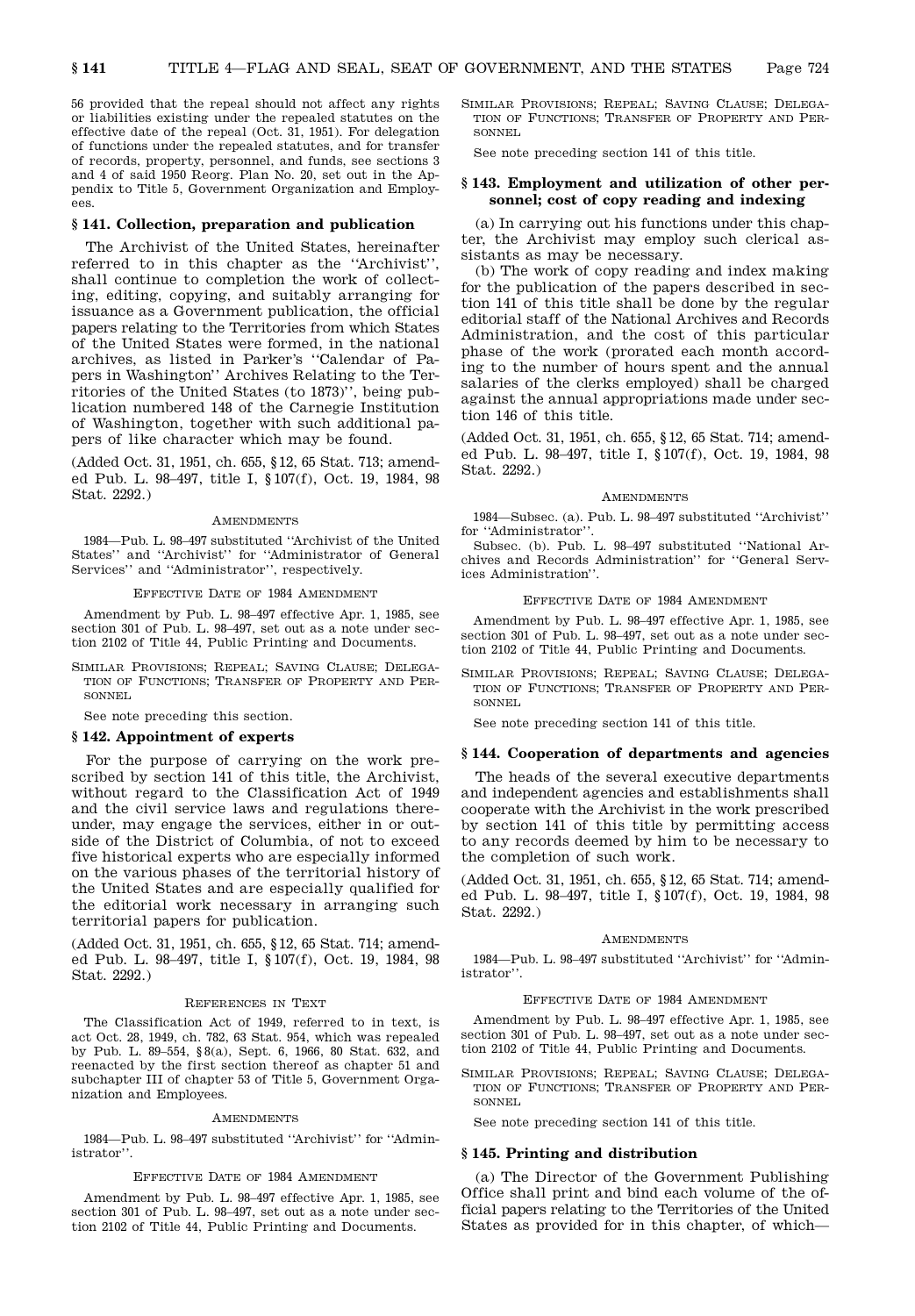56 provided that the repeal should not affect any rights or liabilities existing under the repealed statutes on the effective date of the repeal (Oct. 31, 1951). For delegation of functions under the repealed statutes, and for transfer of records, property, personnel, and funds, see sections 3 and 4 of said 1950 Reorg. Plan No. 20, set out in the Ap pendix to Title 5, Government Organization and Employ ees.

## **§ 141. Collection, preparation and publication**

The Archivist of the United States, hereinafter referred to in this chapter as the "Archivist", shall continue to completion the work of collecting, editing, copying, and suitably arranging for issuance as a Government publication, the official papers relating to the Territories from which States of the United States were formed, in the national archives, as listed in Parker's "Calendar of Pa pers in Washington" Archives Relating to the Ter ritories of the United States (to 1873)", being publication numbered 148 of the Carnegie Institution of Washington, together with such additional pa pers of like character which may be found.

(Added Oct. 31, 1951, ch. 655, § 12, 65 Stat. 713; amend ed Pub. L. 98–497, title I, § 107(f), Oct. 19, 1984, 98 Stat. 2292.)

#### **AMENDMENTS**

1984—Pub. L. 98–497 substituted "Archivist of the United States" and "Archivist" for "Administrator of General Services" and "Administrator", respectively.

#### EFFECTIVE DATE OF 1984 AMENDMENT

Amendment by Pub. L. 98–497 effective Apr. 1, 1985, see section 301 of Pub. L. 98-497, set out as a note under section 2102 of Title 44, Public Printing and Documents.

- Similar Provisions; Repeal; Saving Clause; Delega tion of Functions; Transfer of Property and Per sonnel
	- See note preceding this section.

## **§ 142. Appointment of experts**

For the purpose of carrying on the work pre scribed by section 141 of this title, the Archivist, without regard to the Classification Act of 1949 and the civil service laws and regulations there under, may engage the services, either in or out side of the District of Columbia, of not to exceed five historical experts who are especially informed on the various phases of the territorial history of the United States and are especially qualified for the editorial work necessary in arranging such territorial papers for publication.

(Added Oct. 31, 1951, ch. 655, § 12, 65 Stat. 714; amend ed Pub. L. 98–497, title I, § 107(f), Oct. 19, 1984, 98 Stat. 2292.)

#### References in Text

The Classification Act of 1949, referred to in text, is act Oct. 28, 1949, ch. 782, 63 Stat. 954, which was repealed by Pub. L. 89–554, § 8(a), Sept. 6, 1966, 80 Stat. 632, and reenacted by the first section thereof as chapter 51 and subchapter III of chapter 53 of Title 5, Government Orga nization and Employees.

#### **AMENDMENTS**

1984—Pub. L. 98–497 substituted "Archivist" for "Administrator".

## EFFECTIVE DATE OF 1984 AMENDMENT

Amendment by Pub. L. 98–497 effective Apr. 1, 1985, see section 301 of Pub. L. 98–497, set out as a note under sec tion 2102 of Title 44, Public Printing and Documents.

Similar Provisions; Repeal; Saving Clause; Delega tion of Functions; Transfer of Property and Per sonnel

See note preceding section 141 of this title.

## **§ 143. Employment and utilization of other personnel; cost of copy reading and indexing**

(a) In carrying out his functions under this chap ter, the Archivist may employ such clerical as sistants as may be necessary.

(b) The work of copy reading and index making for the publication of the papers described in sec tion 141 of this title shall be done by the regular editorial staff of the National Archives and Records Administration, and the cost of this particular phase of the work (prorated each month according to the number of hours spent and the annual salaries of the clerks employed) shall be charged against the annual appropriations made under sec tion 146 of this title.

(Added Oct. 31, 1951, ch. 655, § 12, 65 Stat. 714; amend ed Pub. L. 98–497, title I, § 107(f), Oct. 19, 1984, 98 Stat. 2292.)

#### **AMENDMENTS**

1984—Subsec. (a). Pub. L. 98–497 substituted "Archivist" for "Administrator"

Subsec. (b). Pub. L. 98–497 substituted "National Ar chives and Records Administration" for "General Services Administration".

#### Effective Date of 1984 Amendment

Amendment by Pub. L. 98–497 effective Apr. 1, 1985, see section 301 of Pub. L. 98–497, set out as a note under sec tion 2102 of Title 44, Public Printing and Documents.

Similar Provisions; Repeal; Saving Clause; Delega tion of Functions; Transfer of Property and Per sonnel

See note preceding section 141 of this title.

## **§ 144. Cooperation of departments and agencies**

The heads of the several executive departments and independent agencies and establishments shall cooperate with the Archivist in the work prescribed by section 141 of this title by permitting access to any records deemed by him to be necessary to the completion of such work.

(Added Oct. 31, 1951, ch. 655, § 12, 65 Stat. 714; amend ed Pub. L. 98–497, title I, § 107(f), Oct. 19, 1984, 98 Stat. 2292.)

#### **AMENDMENTS**

1984—Pub. L. 98–497 substituted "Archivist" for "Administrator".

## Effective Date of 1984 Amendment

Amendment by Pub. L. 98–497 effective Apr. 1, 1985, see section 301 of Pub. L. 98–497, set out as a note under sec tion 2102 of Title 44, Public Printing and Documents.

Similar Provisions; Repeal; Saving Clause; Delega tion of Functions; Transfer of Property and Per sonnel

See note preceding section 141 of this title.

## **§ 145. Printing and distribution**

(a) The Director of the Government Publishing Office shall print and bind each volume of the official papers relating to the Territories of the United States as provided for in this chapter, of which—